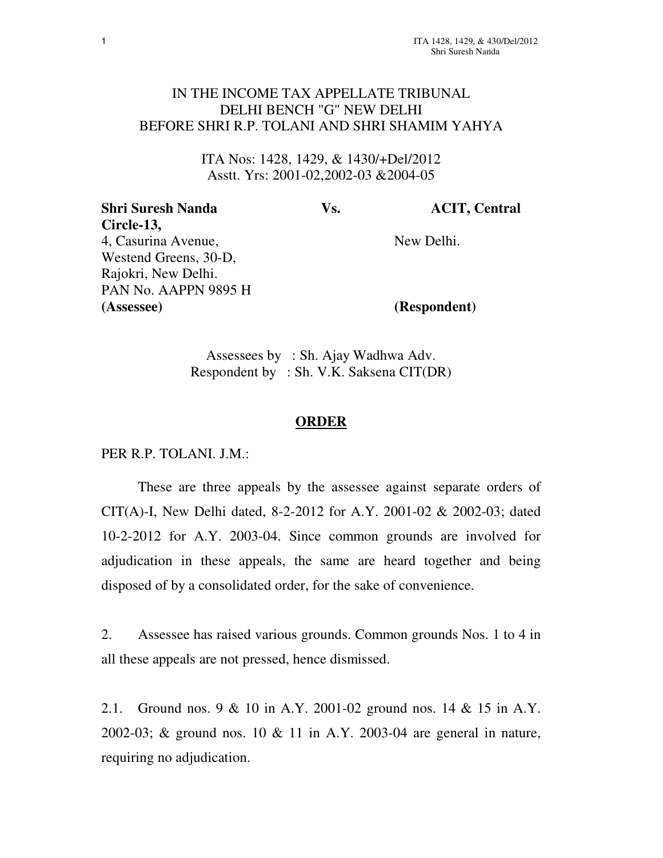## IN THE INCOME TAX APPELLATE TRIBUNAL DELHI BENCH "G" NEW DELHI BEFORE SHRI R.P. TOLANI AND SHRI SHAMIM YAHYA

ITA Nos: 1428, 1429, & 1430/+Del/2012 Asstt. Yrs: 2001-02,2002-03 &2004-05

| Vs. | <b>ACIT, Central</b> |
|-----|----------------------|
|     |                      |
|     | New Delhi.           |
|     |                      |
|     |                      |
|     |                      |
|     | (Respondent)         |
|     |                      |

Assessees by : Sh. Ajay Wadhwa Adv. Respondent by : Sh. V.K. Saksena CIT(DR)

## **ORDER**

PER R.P. TOLANI. J.M.:

These are three appeals by the assessee against separate orders of CIT(A)-I, New Delhi dated, 8-2-2012 for A.Y. 2001-02 & 2002-03; dated 10-2-2012 for A.Y. 2003-04. Since common grounds are involved for adjudication in these appeals, the same are heard together and being disposed of by a consolidated order, for the sake of convenience.

2. Assessee has raised various grounds. Common grounds Nos. 1 to 4 in all these appeals are not pressed, hence dismissed.

2.1. Ground nos. 9 & 10 in A.Y. 2001-02 ground nos. 14 & 15 in A.Y. 2002-03; & ground nos. 10 & 11 in A.Y. 2003-04 are general in nature, requiring no adjudication.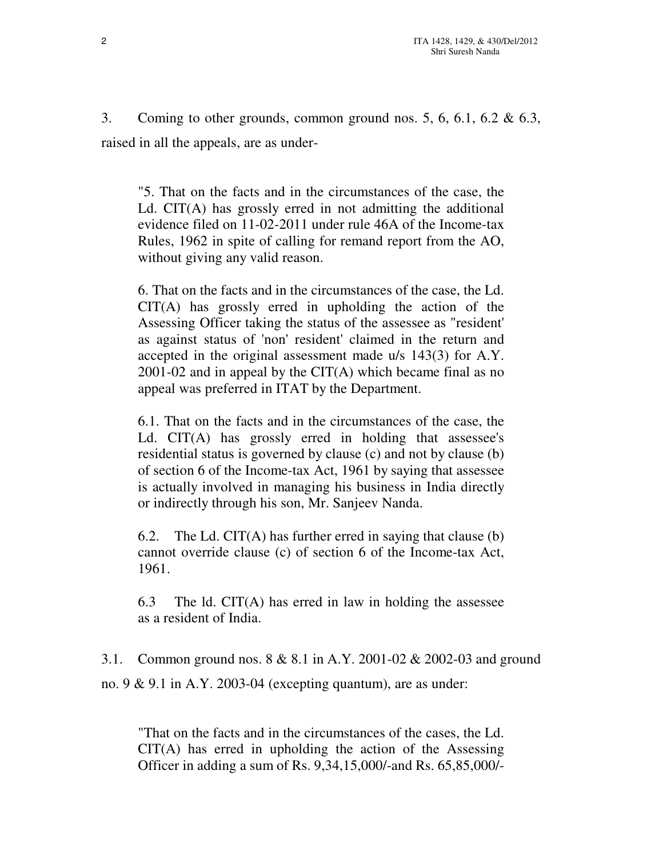3. Coming to other grounds, common ground nos. 5, 6, 6.1, 6.2  $\&$  6.3, raised in all the appeals, are as under-

"5. That on the facts and in the circumstances of the case, the Ld. CIT(A) has grossly erred in not admitting the additional evidence filed on 11-02-2011 under rule 46A of the Income-tax Rules, 1962 in spite of calling for remand report from the AO, without giving any valid reason.

6. That on the facts and in the circumstances of the case, the Ld. CIT(A) has grossly erred in upholding the action of the Assessing Officer taking the status of the assessee as "resident' as against status of 'non' resident' claimed in the return and accepted in the original assessment made u/s 143(3) for A.Y.  $2001-02$  and in appeal by the CIT(A) which became final as no appeal was preferred in ITAT by the Department.

6.1. That on the facts and in the circumstances of the case, the Ld. CIT(A) has grossly erred in holding that assessee's residential status is governed by clause (c) and not by clause (b) of section 6 of the Income-tax Act, 1961 by saying that assessee is actually involved in managing his business in India directly or indirectly through his son, Mr. Sanjeev Nanda.

6.2. The Ld. CIT(A) has further erred in saying that clause (b) cannot override clause (c) of section 6 of the Income-tax Act, 1961.

6.3 The ld. CIT(A) has erred in law in holding the assessee as a resident of India.

3.1. Common ground nos. 8 & 8.1 in A.Y. 2001-02 & 2002-03 and ground no.  $9 \& 9.1$  in A.Y. 2003-04 (excepting quantum), are as under:

"That on the facts and in the circumstances of the cases, the Ld. CIT(A) has erred in upholding the action of the Assessing Officer in adding a sum of Rs. 9,34,15,000/-and Rs. 65,85,000/-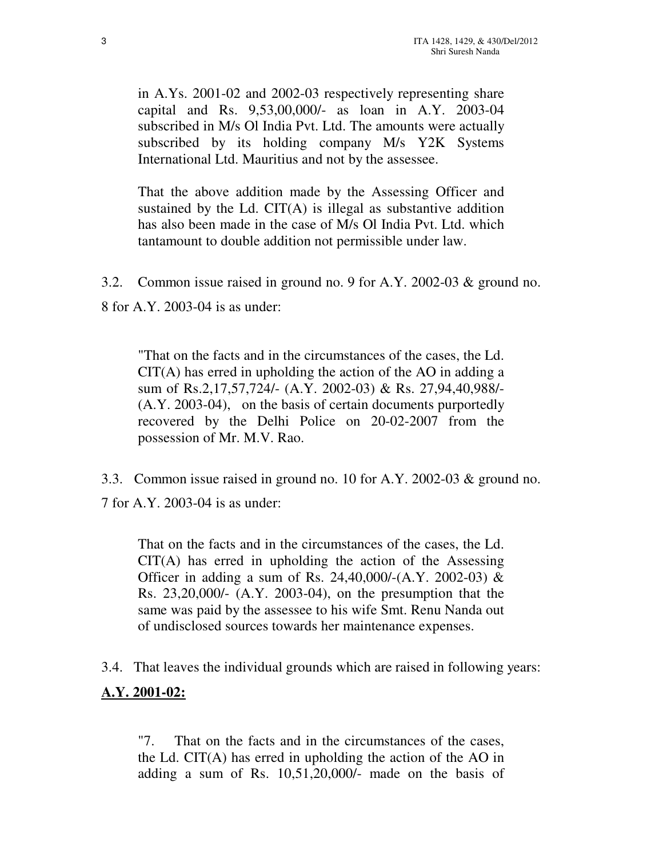in A.Ys. 2001-02 and 2002-03 respectively representing share capital and Rs. 9,53,00,000/- as loan in A.Y. 2003-04 subscribed in M/s Ol India Pvt. Ltd. The amounts were actually subscribed by its holding company M/s Y2K Systems International Ltd. Mauritius and not by the assessee.

That the above addition made by the Assessing Officer and sustained by the Ld. CIT(A) is illegal as substantive addition has also been made in the case of M/s Ol India Pvt. Ltd. which tantamount to double addition not permissible under law.

3.2. Common issue raised in ground no. 9 for A.Y. 2002-03 & ground no.

8 for A.Y. 2003-04 is as under:

"That on the facts and in the circumstances of the cases, the Ld. CIT(A) has erred in upholding the action of the AO in adding a sum of Rs.2,17,57,724/- (A.Y. 2002-03) & Rs. 27,94,40,988/- (A.Y. 2003-04), on the basis of certain documents purportedly recovered by the Delhi Police on 20-02-2007 from the possession of Mr. M.V. Rao.

3.3. Common issue raised in ground no. 10 for A.Y. 2002-03 & ground no. 7 for A.Y. 2003-04 is as under:

That on the facts and in the circumstances of the cases, the Ld.  $CIT(A)$  has erred in upholding the action of the Assessing Officer in adding a sum of Rs. 24,40,000/-(A.Y. 2002-03) & Rs. 23,20,000/- (A.Y. 2003-04), on the presumption that the same was paid by the assessee to his wife Smt. Renu Nanda out of undisclosed sources towards her maintenance expenses.

3.4. That leaves the individual grounds which are raised in following years: **A.Y. 2001-02:**

"7. That on the facts and in the circumstances of the cases, the Ld. CIT(A) has erred in upholding the action of the AO in adding a sum of Rs. 10,51,20,000/- made on the basis of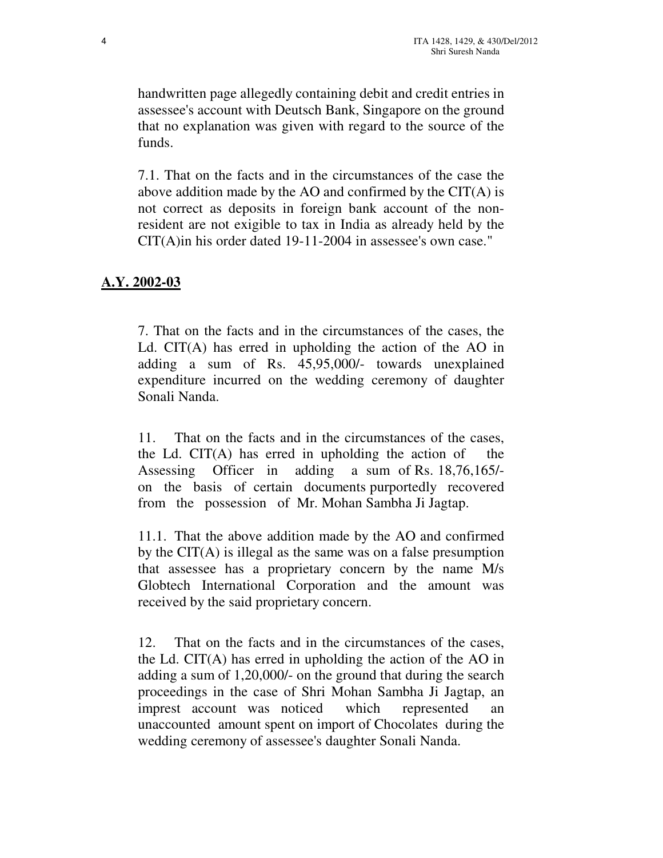handwritten page allegedly containing debit and credit entries in assessee's account with Deutsch Bank, Singapore on the ground that no explanation was given with regard to the source of the funds.

7.1. That on the facts and in the circumstances of the case the above addition made by the AO and confirmed by the CIT(A) is not correct as deposits in foreign bank account of the nonresident are not exigible to tax in India as already held by the CIT(A)in his order dated 19-11-2004 in assessee's own case."

## **A.Y. 2002-03**

7. That on the facts and in the circumstances of the cases, the Ld. CIT(A) has erred in upholding the action of the AO in adding a sum of Rs. 45,95,000/- towards unexplained expenditure incurred on the wedding ceremony of daughter Sonali Nanda.

11. That on the facts and in the circumstances of the cases, the Ld. CIT(A) has erred in upholding the action of the Assessing Officer in adding a sum of Rs. 18,76,165/ on the basis of certain documents purportedly recovered from the possession of Mr. Mohan Sambha Ji Jagtap.

11.1. That the above addition made by the AO and confirmed by the CIT(A) is illegal as the same was on a false presumption that assessee has a proprietary concern by the name M/s Globtech International Corporation and the amount was received by the said proprietary concern.

12. That on the facts and in the circumstances of the cases, the Ld. CIT(A) has erred in upholding the action of the AO in adding a sum of 1,20,000/- on the ground that during the search proceedings in the case of Shri Mohan Sambha Ji Jagtap, an imprest account was noticed which represented an unaccounted amount spent on import of Chocolates during the wedding ceremony of assessee's daughter Sonali Nanda.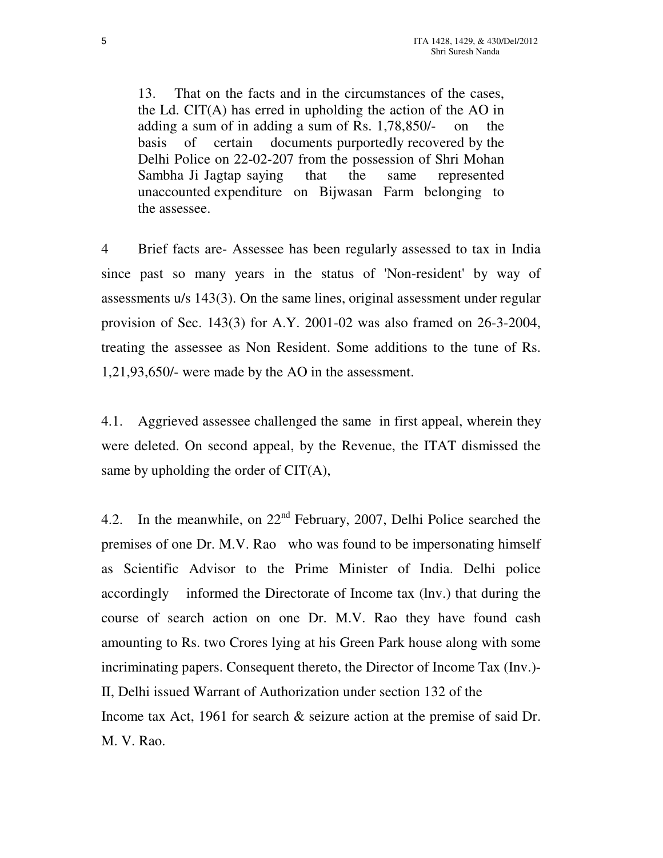13. That on the facts and in the circumstances of the cases, the Ld. CIT(A) has erred in upholding the action of the AO in adding a sum of in adding a sum of Rs. 1,78,850/- on the basis of certain documents purportedly recovered by the Delhi Police on 22-02-207 from the possession of Shri Mohan Sambha Ji Jagtap saying that the same represented unaccounted expenditure on Bijwasan Farm belonging to the assessee.

4 Brief facts are- Assessee has been regularly assessed to tax in India since past so many years in the status of 'Non-resident' by way of assessments u/s 143(3). On the same lines, original assessment under regular provision of Sec. 143(3) for A.Y. 2001-02 was also framed on 26-3-2004, treating the assessee as Non Resident. Some additions to the tune of Rs. 1,21,93,650/- were made by the AO in the assessment.

4.1. Aggrieved assessee challenged the same in first appeal, wherein they were deleted. On second appeal, by the Revenue, the ITAT dismissed the same by upholding the order of CIT(A),

4.2. In the meanwhile, on  $22<sup>nd</sup>$  February, 2007, Delhi Police searched the premises of one Dr. M.V. Rao who was found to be impersonating himself as Scientific Advisor to the Prime Minister of India. Delhi police accordingly informed the Directorate of Income tax (lnv.) that during the course of search action on one Dr. M.V. Rao they have found cash amounting to Rs. two Crores lying at his Green Park house along with some incriminating papers. Consequent thereto, the Director of Income Tax (Inv.)- II, Delhi issued Warrant of Authorization under section 132 of the Income tax Act, 1961 for search & seizure action at the premise of said Dr. M. V. Rao.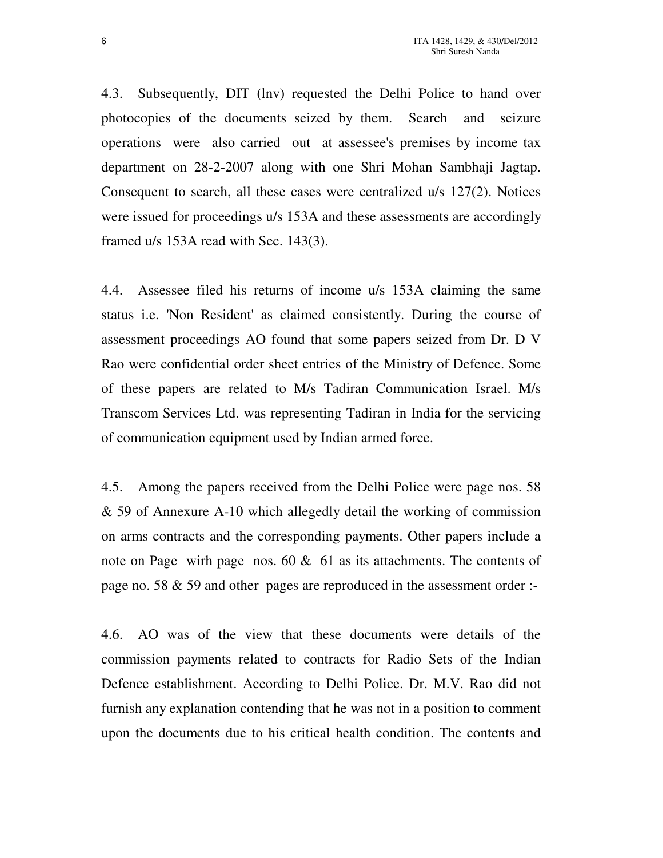4.3. Subsequently, DIT (lnv) requested the Delhi Police to hand over photocopies of the documents seized by them. Search and seizure operations were also carried out at assessee's premises by income tax department on 28-2-2007 along with one Shri Mohan Sambhaji Jagtap. Consequent to search, all these cases were centralized u/s 127(2). Notices were issued for proceedings u/s 153A and these assessments are accordingly framed u/s 153A read with Sec. 143(3).

4.4. Assessee filed his returns of income u/s 153A claiming the same status i.e. 'Non Resident' as claimed consistently. During the course of assessment proceedings AO found that some papers seized from Dr. D V Rao were confidential order sheet entries of the Ministry of Defence. Some of these papers are related to M/s Tadiran Communication Israel. M/s Transcom Services Ltd. was representing Tadiran in India for the servicing of communication equipment used by Indian armed force.

4.5. Among the papers received from the Delhi Police were page nos. 58 & 59 of Annexure A-10 which allegedly detail the working of commission on arms contracts and the corresponding payments. Other papers include a note on Page wirh page nos. 60 & 61 as its attachments. The contents of page no. 58 & 59 and other pages are reproduced in the assessment order :-

4.6. AO was of the view that these documents were details of the commission payments related to contracts for Radio Sets of the Indian Defence establishment. According to Delhi Police. Dr. M.V. Rao did not furnish any explanation contending that he was not in a position to comment upon the documents due to his critical health condition. The contents and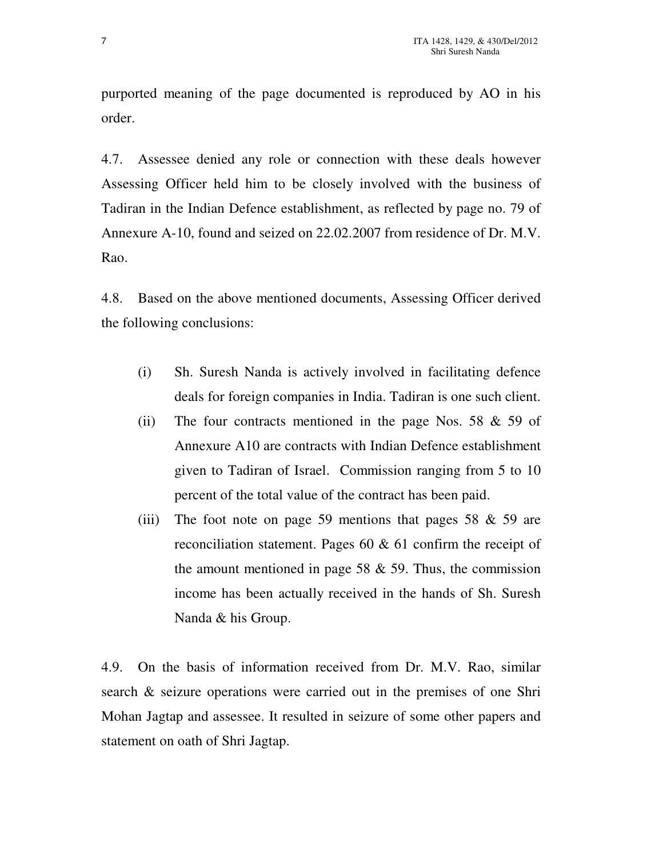purported meaning of the page documented is reproduced by AO in his order.

4.7. Assessee denied any role or connection with these deals however Assessing Officer held him to be closely involved with the business of Tadiran in the Indian Defence establishment, as reflected by page no. 79 of Annexure A-10, found and seized on 22.02.2007 from residence of Dr. M.V. Rao.

4.8. Based on the above mentioned documents, Assessing Officer derived the following conclusions:

- (i) Sh. Suresh Nanda is actively involved in facilitating defence deals for foreign companies in India. Tadiran is one such client.
- (ii) The four contracts mentioned in the page Nos. 58  $\&$  59 of Annexure A10 are contracts with Indian Defence establishment given to Tadiran of Israel. Commission ranging from 5 to 10 percent of the total value of the contract has been paid.
- (iii) The foot note on page 59 mentions that pages 58  $\&$  59 are reconciliation statement. Pages 60 & 61 confirm the receipt of the amount mentioned in page 58  $&$  59. Thus, the commission income has been actually received in the hands of Sh. Suresh Nanda & his Group.

4.9. On the basis of information received from Dr. M.V. Rao, similar search & seizure operations were carried out in the premises of one Shri Mohan Jagtap and assessee. It resulted in seizure of some other papers and statement on oath of Shri Jagtap.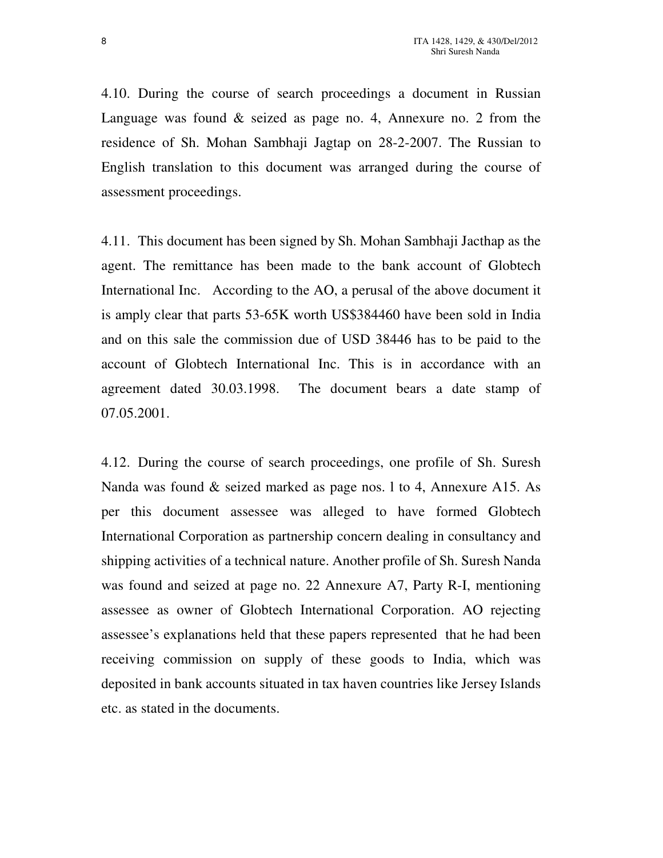4.10. During the course of search proceedings a document in Russian Language was found & seized as page no. 4, Annexure no. 2 from the residence of Sh. Mohan Sambhaji Jagtap on 28-2-2007. The Russian to English translation to this document was arranged during the course of assessment proceedings.

4.11. This document has been signed by Sh. Mohan Sambhaji Jacthap as the agent. The remittance has been made to the bank account of Globtech International Inc. According to the AO, a perusal of the above document it is amply clear that parts 53-65K worth US\$384460 have been sold in India and on this sale the commission due of USD 38446 has to be paid to the account of Globtech International Inc. This is in accordance with an agreement dated 30.03.1998. The document bears a date stamp of 07.05.2001.

4.12. During the course of search proceedings, one profile of Sh. Suresh Nanda was found & seized marked as page nos. l to 4, Annexure A15. As per this document assessee was alleged to have formed Globtech International Corporation as partnership concern dealing in consultancy and shipping activities of a technical nature. Another profile of Sh. Suresh Nanda was found and seized at page no. 22 Annexure A7, Party R-I, mentioning assessee as owner of Globtech International Corporation. AO rejecting assessee's explanations held that these papers represented that he had been receiving commission on supply of these goods to India, which was deposited in bank accounts situated in tax haven countries like Jersey Islands etc. as stated in the documents.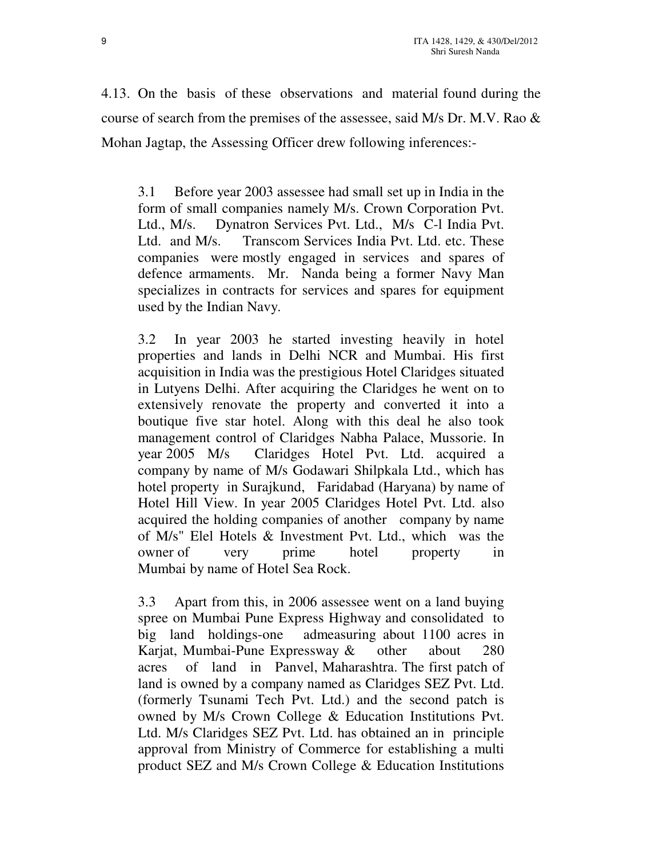4.13. On the basis of these observations and material found during the course of search from the premises of the assessee, said M/s Dr. M.V. Rao & Mohan Jagtap, the Assessing Officer drew following inferences:-

3.1 Before year 2003 assessee had small set up in India in the form of small companies namely M/s. Crown Corporation Pvt. Ltd., M/s. Dynatron Services Pvt. Ltd., M/s C-l India Pvt. Ltd. and M/s. Transcom Services India Pvt. Ltd. etc. These companies were mostly engaged in services and spares of defence armaments. Mr. Nanda being a former Navy Man specializes in contracts for services and spares for equipment used by the Indian Navy.

3.2 In year 2003 he started investing heavily in hotel properties and lands in Delhi NCR and Mumbai. His first acquisition in India was the prestigious Hotel Claridges situated in Lutyens Delhi. After acquiring the Claridges he went on to extensively renovate the property and converted it into a boutique five star hotel. Along with this deal he also took management control of Claridges Nabha Palace, Mussorie. In year 2005 M/s Claridges Hotel Pvt. Ltd. acquired a company by name of M/s Godawari Shilpkala Ltd., which has hotel property in Surajkund, Faridabad (Haryana) by name of Hotel Hill View. In year 2005 Claridges Hotel Pvt. Ltd. also acquired the holding companies of another company by name of M/s" Elel Hotels & Investment Pvt. Ltd., which was the owner of very prime hotel property in Mumbai by name of Hotel Sea Rock.

3.3 Apart from this, in 2006 assessee went on a land buying spree on Mumbai Pune Express Highway and consolidated to big land holdings-one admeasuring about 1100 acres in Karjat, Mumbai-Pune Expressway & other about 280 acres of land in Panvel, Maharashtra. The first patch of land is owned by a company named as Claridges SEZ Pvt. Ltd. (formerly Tsunami Tech Pvt. Ltd.) and the second patch is owned by M/s Crown College & Education Institutions Pvt. Ltd. M/s Claridges SEZ Pvt. Ltd. has obtained an in principle approval from Ministry of Commerce for establishing a multi product SEZ and M/s Crown College & Education Institutions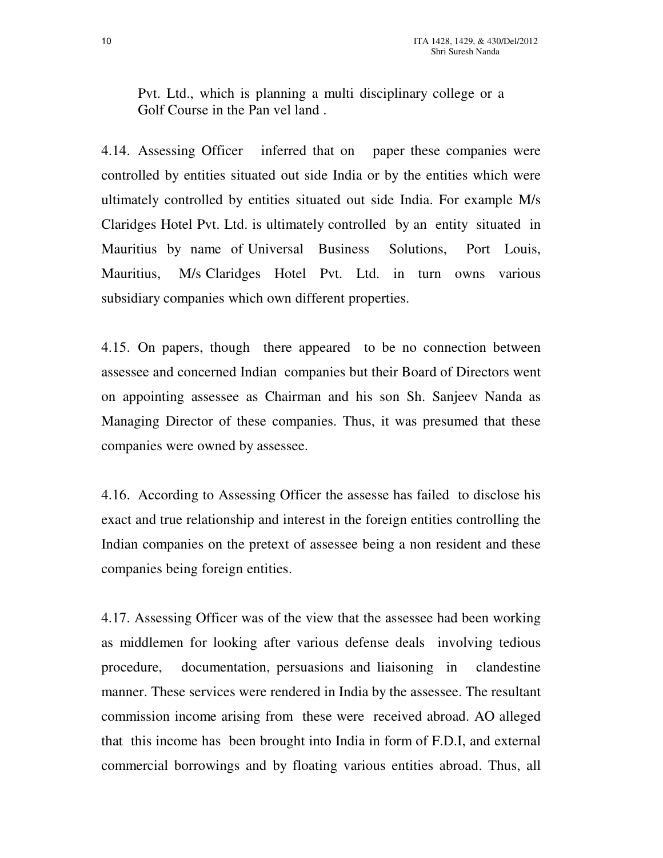Pvt. Ltd., which is planning a multi disciplinary college or a Golf Course in the Pan vel land .

4.14. Assessing Officer inferred that on paper these companies were controlled by entities situated out side India or by the entities which were ultimately controlled by entities situated out side India. For example M/s Claridges Hotel Pvt. Ltd. is ultimately controlled by an entity situated in Mauritius by name of Universal Business Solutions, Port Louis, Mauritius, M/s Claridges Hotel Pvt. Ltd. in turn owns various subsidiary companies which own different properties.

4.15. On papers, though there appeared to be no connection between assessee and concerned Indian companies but their Board of Directors went on appointing assessee as Chairman and his son Sh. Sanjeev Nanda as Managing Director of these companies. Thus, it was presumed that these companies were owned by assessee.

4.16. According to Assessing Officer the assesse has failed to disclose his exact and true relationship and interest in the foreign entities controlling the Indian companies on the pretext of assessee being a non resident and these companies being foreign entities.

4.17. Assessing Officer was of the view that the assessee had been working as middlemen for looking after various defense deals involving tedious procedure, documentation, persuasions and liaisoning in clandestine manner. These services were rendered in India by the assessee. The resultant commission income arising from these were received abroad. AO alleged that this income has been brought into India in form of F.D.I, and external commercial borrowings and by floating various entities abroad. Thus, all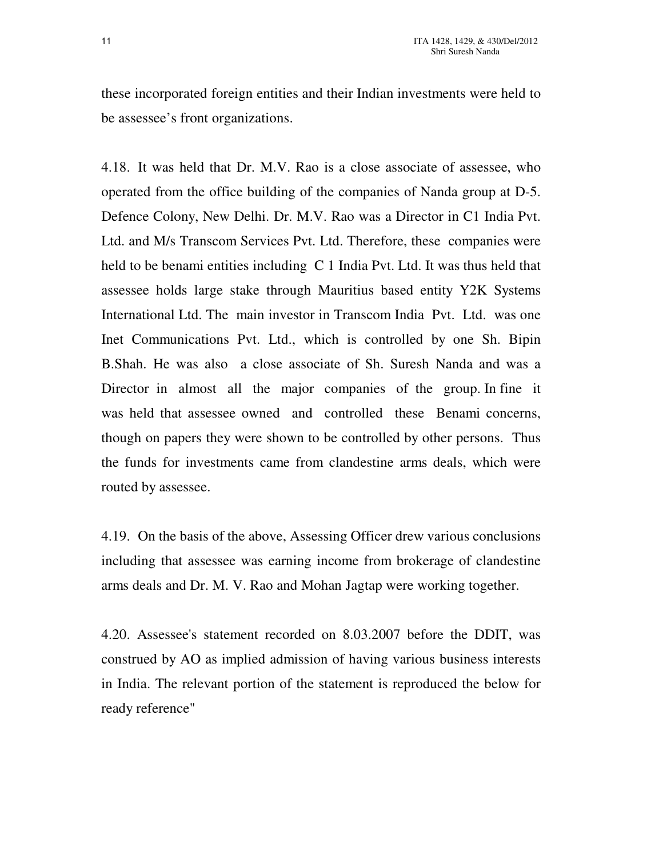these incorporated foreign entities and their Indian investments were held to be assessee's front organizations.

4.18. It was held that Dr. M.V. Rao is a close associate of assessee, who operated from the office building of the companies of Nanda group at D-5. Defence Colony, New Delhi. Dr. M.V. Rao was a Director in C1 India Pvt. Ltd. and M/s Transcom Services Pvt. Ltd. Therefore, these companies were held to be benami entities including C 1 India Pvt. Ltd. It was thus held that assessee holds large stake through Mauritius based entity Y2K Systems International Ltd. The main investor in Transcom India Pvt. Ltd. was one Inet Communications Pvt. Ltd., which is controlled by one Sh. Bipin B.Shah. He was also a close associate of Sh. Suresh Nanda and was a Director in almost all the major companies of the group. In fine it was held that assessee owned and controlled these Benami concerns, though on papers they were shown to be controlled by other persons. Thus the funds for investments came from clandestine arms deals, which were routed by assessee.

4.19. On the basis of the above, Assessing Officer drew various conclusions including that assessee was earning income from brokerage of clandestine arms deals and Dr. M. V. Rao and Mohan Jagtap were working together.

4.20. Assessee's statement recorded on 8.03.2007 before the DDIT, was construed by AO as implied admission of having various business interests in India. The relevant portion of the statement is reproduced the below for ready reference"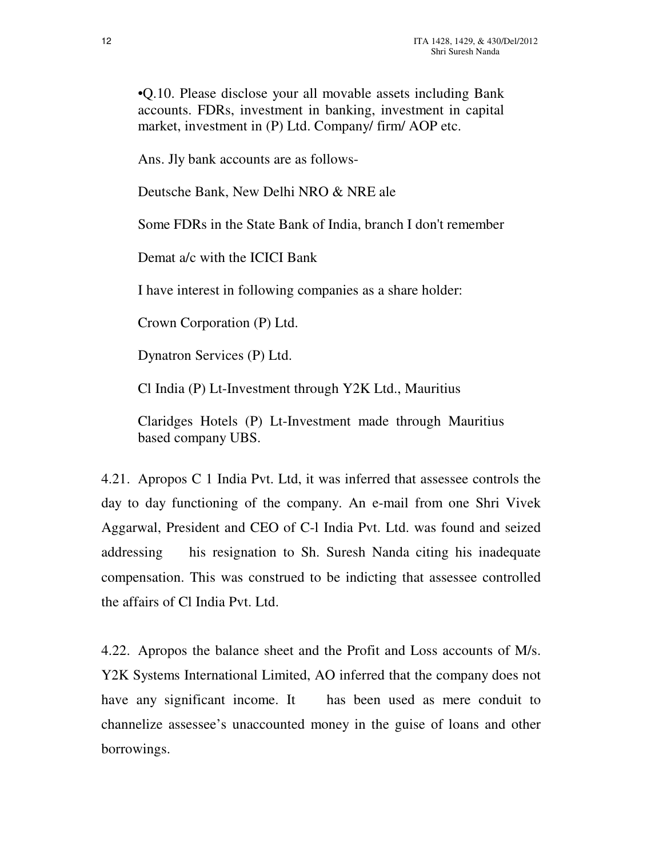•Q.10. Please disclose your all movable assets including Bank accounts. FDRs, investment in banking, investment in capital market, investment in (P) Ltd. Company/ firm/ AOP etc.

Ans. Jly bank accounts are as follows-

Deutsche Bank, New Delhi NRO & NRE ale

Some FDRs in the State Bank of India, branch I don't remember

Demat a/c with the ICICI Bank

I have interest in following companies as a share holder:

Crown Corporation (P) Ltd.

Dynatron Services (P) Ltd.

Cl India (P) Lt-Investment through Y2K Ltd., Mauritius

Claridges Hotels (P) Lt-Investment made through Mauritius based company UBS.

4.21. Apropos C 1 India Pvt. Ltd, it was inferred that assessee controls the day to day functioning of the company. An e-mail from one Shri Vivek Aggarwal, President and CEO of C-l India Pvt. Ltd. was found and seized addressing his resignation to Sh. Suresh Nanda citing his inadequate compensation. This was construed to be indicting that assessee controlled the affairs of Cl India Pvt. Ltd.

4.22. Apropos the balance sheet and the Profit and Loss accounts of M/s. Y2K Systems International Limited, AO inferred that the company does not have any significant income. It has been used as mere conduit to channelize assessee's unaccounted money in the guise of loans and other borrowings.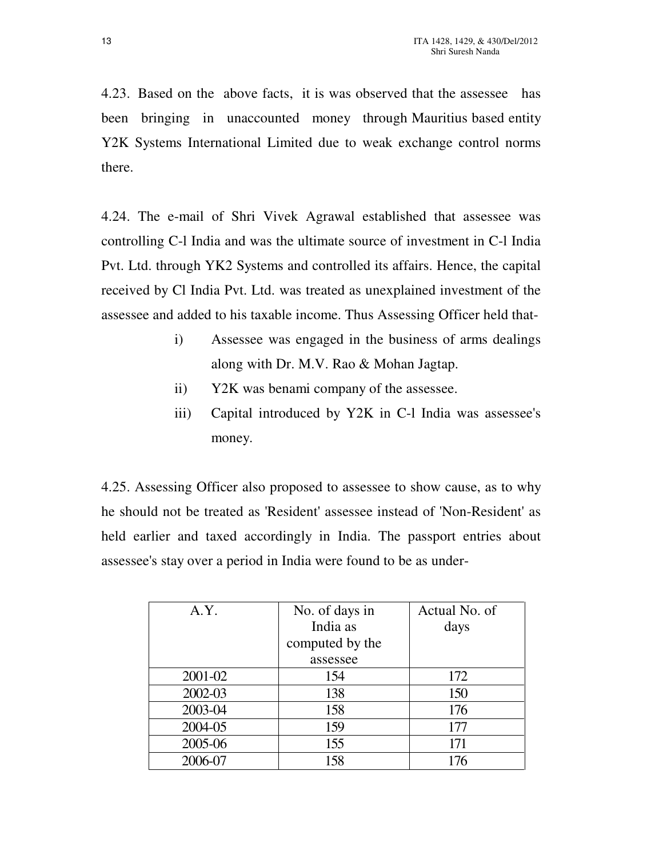4.23. Based on the above facts, it is was observed that the assessee has been bringing in unaccounted money through Mauritius based entity Y2K Systems International Limited due to weak exchange control norms there.

4.24. The e-mail of Shri Vivek Agrawal established that assessee was controlling C-l India and was the ultimate source of investment in C-l India Pvt. Ltd. through YK2 Systems and controlled its affairs. Hence, the capital received by Cl India Pvt. Ltd. was treated as unexplained investment of the assessee and added to his taxable income. Thus Assessing Officer held that-

- i) Assessee was engaged in the business of arms dealings along with Dr. M.V. Rao & Mohan Jagtap.
- ii) Y2K was benami company of the assessee.
- iii) Capital introduced by Y2K in C-l India was assessee's money.

4.25. Assessing Officer also proposed to assessee to show cause, as to why he should not be treated as 'Resident' assessee instead of 'Non-Resident' as held earlier and taxed accordingly in India. The passport entries about assessee's stay over a period in India were found to be as under-

| A.Y.    | No. of days in  | Actual No. of |
|---------|-----------------|---------------|
|         | India as        | days          |
|         | computed by the |               |
|         | assessee        |               |
| 2001-02 | 154             | 172           |
| 2002-03 | 138             | 150           |
| 2003-04 | 158             | 176           |
| 2004-05 | 159             | 177           |
| 2005-06 | 155             | 171           |
| 2006-07 | 158             | 176           |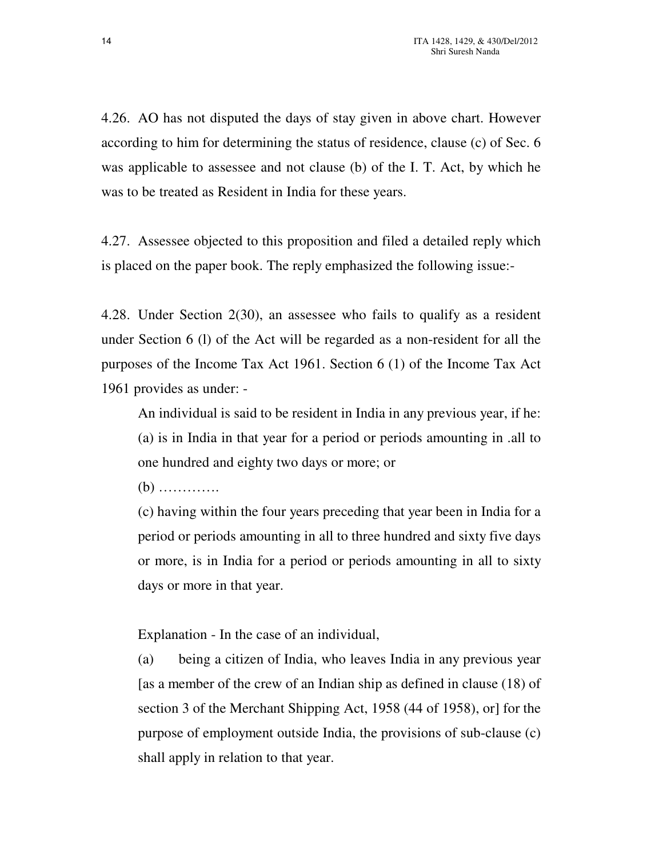4.26. AO has not disputed the days of stay given in above chart. However according to him for determining the status of residence, clause (c) of Sec. 6 was applicable to assessee and not clause (b) of the I. T. Act, by which he was to be treated as Resident in India for these years.

4.27. Assessee objected to this proposition and filed a detailed reply which is placed on the paper book. The reply emphasized the following issue:-

4.28. Under Section 2(30), an assessee who fails to qualify as a resident under Section 6 (l) of the Act will be regarded as a non-resident for all the purposes of the Income Tax Act 1961. Section 6 (1) of the Income Tax Act 1961 provides as under: -

An individual is said to be resident in India in any previous year, if he: (a) is in India in that year for a period or periods amounting in .all to one hundred and eighty two days or more; or

(b) ………….

(c) having within the four years preceding that year been in India for a period or periods amounting in all to three hundred and sixty five days or more, is in India for a period or periods amounting in all to sixty days or more in that year.

Explanation - In the case of an individual,

(a) being a citizen of India, who leaves India in any previous year [as a member of the crew of an Indian ship as defined in clause (18) of section 3 of the Merchant Shipping Act, 1958 (44 of 1958), or] for the purpose of employment outside India, the provisions of sub-clause (c) shall apply in relation to that year.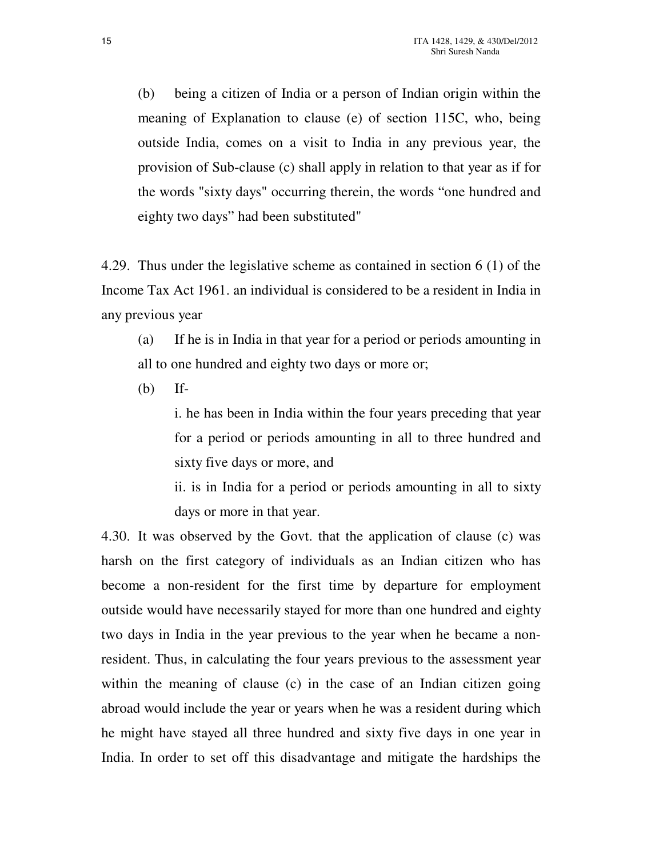(b) being a citizen of India or a person of Indian origin within the meaning of Explanation to clause (e) of section 115C, who, being outside India, comes on a visit to India in any previous year, the provision of Sub-clause (c) shall apply in relation to that year as if for the words "sixty days" occurring therein, the words "one hundred and eighty two days" had been substituted"

4.29. Thus under the legislative scheme as contained in section 6 (1) of the Income Tax Act 1961. an individual is considered to be a resident in India in any previous year

(a) If he is in India in that year for a period or periods amounting in all to one hundred and eighty two days or more or;

(b) If-

i. he has been in India within the four years preceding that year for a period or periods amounting in all to three hundred and sixty five days or more, and

ii. is in India for a period or periods amounting in all to sixty days or more in that year.

4.30. It was observed by the Govt. that the application of clause (c) was harsh on the first category of individuals as an Indian citizen who has become a non-resident for the first time by departure for employment outside would have necessarily stayed for more than one hundred and eighty two days in India in the year previous to the year when he became a nonresident. Thus, in calculating the four years previous to the assessment year within the meaning of clause (c) in the case of an Indian citizen going abroad would include the year or years when he was a resident during which he might have stayed all three hundred and sixty five days in one year in India. In order to set off this disadvantage and mitigate the hardships the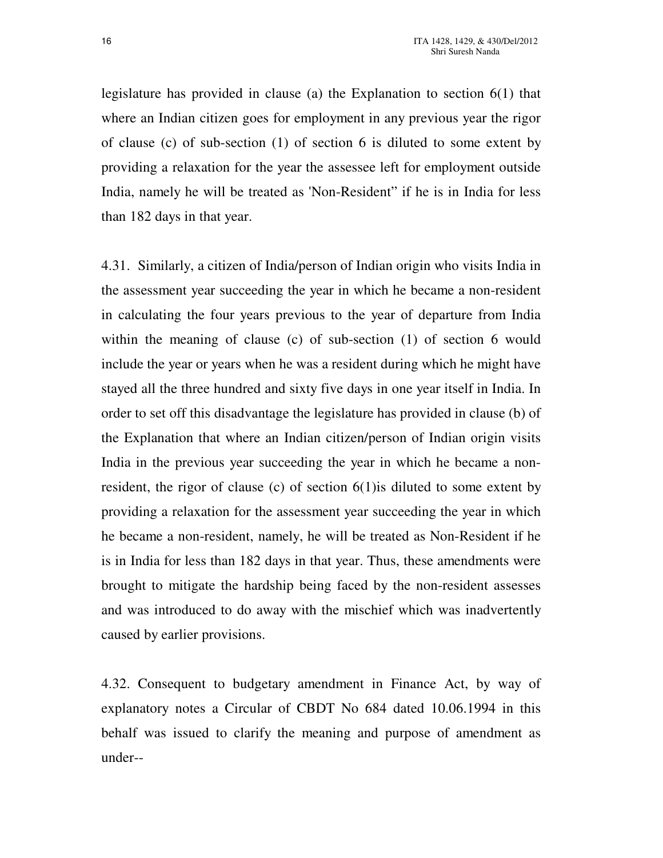legislature has provided in clause (a) the Explanation to section 6(1) that where an Indian citizen goes for employment in any previous year the rigor of clause (c) of sub-section (1) of section 6 is diluted to some extent by providing a relaxation for the year the assessee left for employment outside India, namely he will be treated as 'Non-Resident" if he is in India for less than 182 days in that year.

4.31. Similarly, a citizen of India/person of Indian origin who visits India in the assessment year succeeding the year in which he became a non-resident in calculating the four years previous to the year of departure from India within the meaning of clause (c) of sub-section (1) of section 6 would include the year or years when he was a resident during which he might have stayed all the three hundred and sixty five days in one year itself in India. In order to set off this disadvantage the legislature has provided in clause (b) of the Explanation that where an Indian citizen/person of Indian origin visits India in the previous year succeeding the year in which he became a nonresident, the rigor of clause (c) of section 6(1)is diluted to some extent by providing a relaxation for the assessment year succeeding the year in which he became a non-resident, namely, he will be treated as Non-Resident if he is in India for less than 182 days in that year. Thus, these amendments were brought to mitigate the hardship being faced by the non-resident assesses and was introduced to do away with the mischief which was inadvertently caused by earlier provisions.

4.32. Consequent to budgetary amendment in Finance Act, by way of explanatory notes a Circular of CBDT No 684 dated 10.06.1994 in this behalf was issued to clarify the meaning and purpose of amendment as under--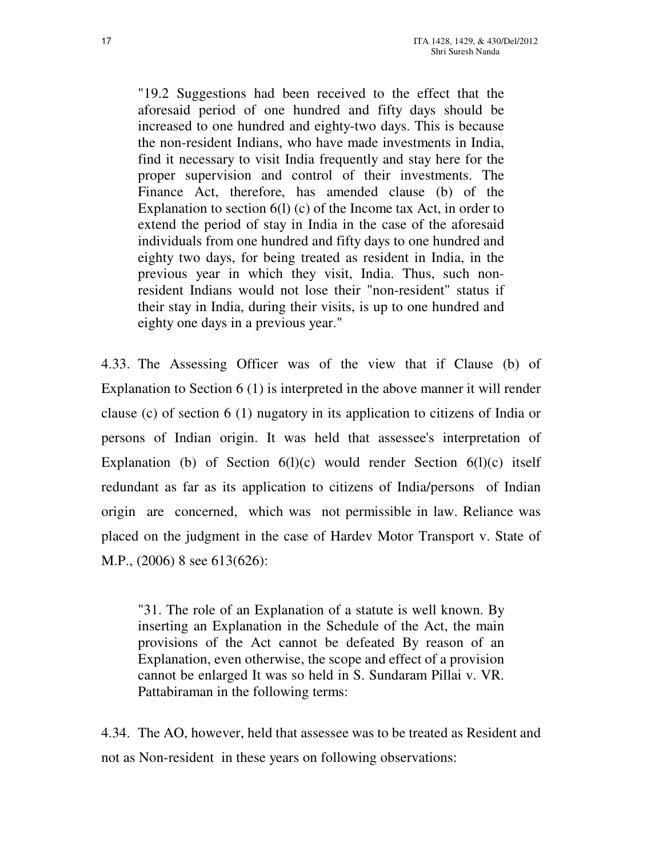"19.2 Suggestions had been received to the effect that the aforesaid period of one hundred and fifty days should be increased to one hundred and eighty-two days. This is because the non-resident Indians, who have made investments in India, find it necessary to visit India frequently and stay here for the proper supervision and control of their investments. The Finance Act, therefore, has amended clause (b) of the Explanation to section 6(l) (c) of the Income tax Act, in order to extend the period of stay in India in the case of the aforesaid individuals from one hundred and fifty days to one hundred and eighty two days, for being treated as resident in India, in the previous year in which they visit, India. Thus, such nonresident Indians would not lose their "non-resident" status if their stay in India, during their visits, is up to one hundred and eighty one days in a previous year."

4.33. The Assessing Officer was of the view that if Clause (b) of Explanation to Section 6 (1) is interpreted in the above manner it will render clause (c) of section 6 (1) nugatory in its application to citizens of India or persons of Indian origin. It was held that assessee's interpretation of Explanation (b) of Section  $6(1)(c)$  would render Section  $6(1)(c)$  itself redundant as far as its application to citizens of India/persons of Indian origin are concerned, which was not permissible in law. Reliance was placed on the judgment in the case of Hardev Motor Transport v. State of M.P., (2006) 8 see 613(626):

"31. The role of an Explanation of a statute is well known. By inserting an Explanation in the Schedule of the Act, the main provisions of the Act cannot be defeated By reason of an Explanation, even otherwise, the scope and effect of a provision cannot be enlarged It was so held in S. Sundaram Pillai v. VR. Pattabiraman in the following terms:

4.34. The AO, however, held that assessee was to be treated as Resident and not as Non-resident in these years on following observations: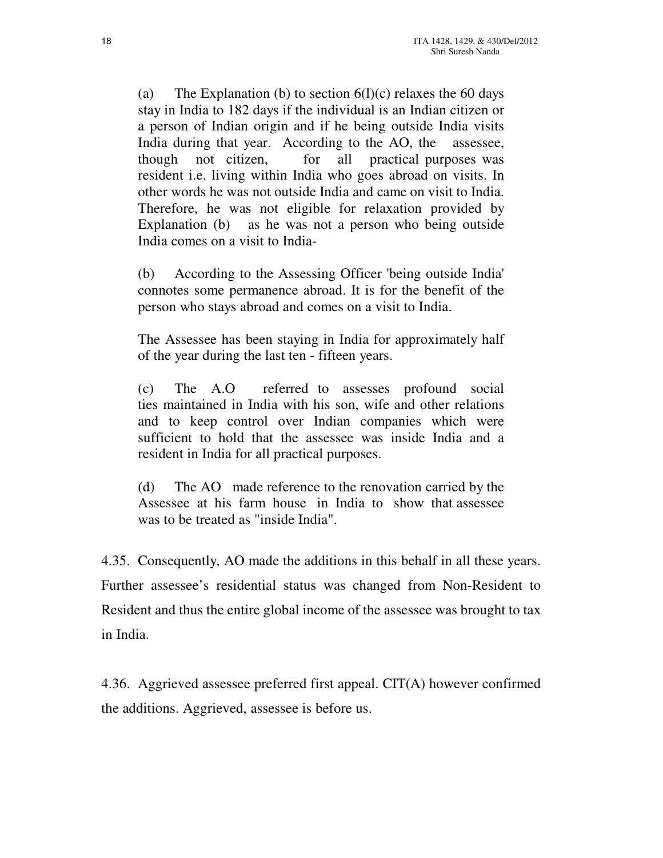(a) The Explanation (b) to section  $6(l)(c)$  relaxes the 60 days stay in India to 182 days if the individual is an Indian citizen or a person of Indian origin and if he being outside India visits India during that year. According to the AO, the assessee, though not citizen, for all practical purposes was resident i.e. living within India who goes abroad on visits. In other words he was not outside India and came on visit to India. Therefore, he was not eligible for relaxation provided by Explanation (b) as he was not a person who being outside India comes on a visit to India-

(b) According to the Assessing Officer 'being outside India' connotes some permanence abroad. It is for the benefit of the person who stays abroad and comes on a visit to India.

The Assessee has been staying in India for approximately half of the year during the last ten - fifteen years.

(c) The A.O referred to assesses profound social ties maintained in India with his son, wife and other relations and to keep control over Indian companies which were sufficient to hold that the assessee was inside India and a resident in India for all practical purposes.

(d) The AO made reference to the renovation carried by the Assessee at his farm house in India to show that assessee was to be treated as "inside India".

4.35. Consequently, AO made the additions in this behalf in all these years. Further assessee's residential status was changed from Non-Resident to Resident and thus the entire global income of the assessee was brought to tax in India.

4.36. Aggrieved assessee preferred first appeal. CIT(A) however confirmed the additions. Aggrieved, assessee is before us.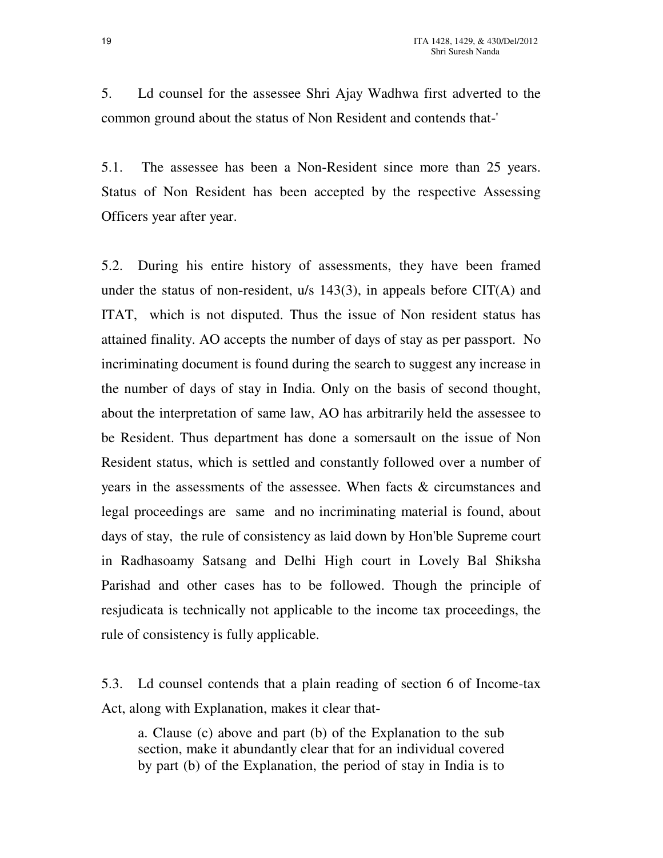5. Ld counsel for the assessee Shri Ajay Wadhwa first adverted to the common ground about the status of Non Resident and contends that-'

5.1. The assessee has been a Non-Resident since more than 25 years. Status of Non Resident has been accepted by the respective Assessing Officers year after year.

5.2. During his entire history of assessments, they have been framed under the status of non-resident, u/s 143(3), in appeals before CIT(A) and ITAT, which is not disputed. Thus the issue of Non resident status has attained finality. AO accepts the number of days of stay as per passport. No incriminating document is found during the search to suggest any increase in the number of days of stay in India. Only on the basis of second thought, about the interpretation of same law, AO has arbitrarily held the assessee to be Resident. Thus department has done a somersault on the issue of Non Resident status, which is settled and constantly followed over a number of years in the assessments of the assessee. When facts & circumstances and legal proceedings are same and no incriminating material is found, about days of stay, the rule of consistency as laid down by Hon'ble Supreme court in Radhasoamy Satsang and Delhi High court in Lovely Bal Shiksha Parishad and other cases has to be followed. Though the principle of resjudicata is technically not applicable to the income tax proceedings, the rule of consistency is fully applicable.

5.3. Ld counsel contends that a plain reading of section 6 of Income-tax Act, along with Explanation, makes it clear that-

a. Clause (c) above and part (b) of the Explanation to the sub section, make it abundantly clear that for an individual covered by part (b) of the Explanation, the period of stay in India is to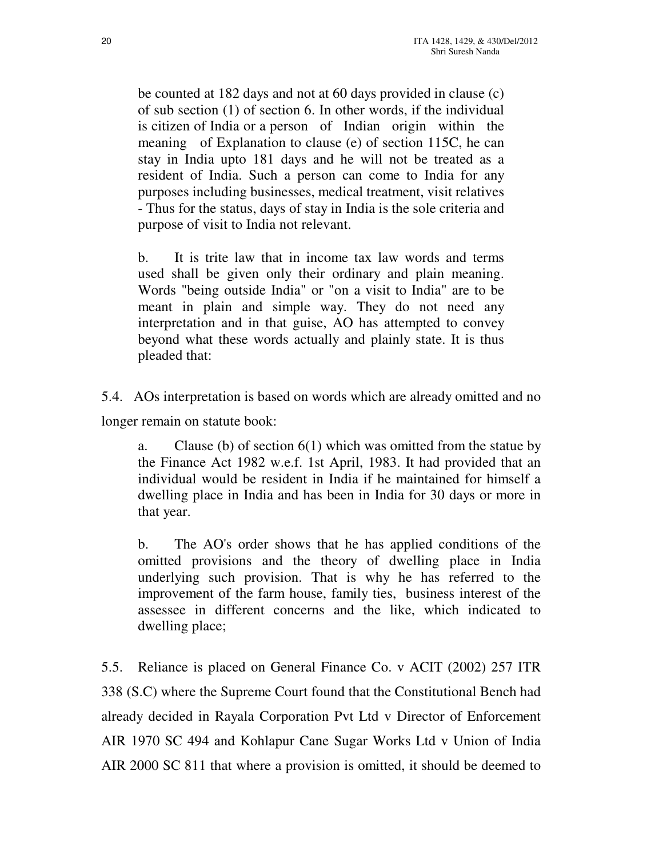be counted at 182 days and not at 60 days provided in clause (c) of sub section (1) of section 6. In other words, if the individual is citizen of India or a person of Indian origin within the meaning of Explanation to clause (e) of section 115C, he can stay in India upto 181 days and he will not be treated as a resident of India. Such a person can come to India for any purposes including businesses, medical treatment, visit relatives - Thus for the status, days of stay in India is the sole criteria and purpose of visit to India not relevant.

b. It is trite law that in income tax law words and terms used shall be given only their ordinary and plain meaning. Words "being outside India" or "on a visit to India" are to be meant in plain and simple way. They do not need any interpretation and in that guise, AO has attempted to convey beyond what these words actually and plainly state. It is thus pleaded that:

5.4. AOs interpretation is based on words which are already omitted and no longer remain on statute book:

a. Clause (b) of section  $6(1)$  which was omitted from the statue by the Finance Act 1982 w.e.f. 1st April, 1983. It had provided that an individual would be resident in India if he maintained for himself a dwelling place in India and has been in India for 30 days or more in that year.

b. The AO's order shows that he has applied conditions of the omitted provisions and the theory of dwelling place in India underlying such provision. That is why he has referred to the improvement of the farm house, family ties, business interest of the assessee in different concerns and the like, which indicated to dwelling place;

5.5. Reliance is placed on General Finance Co. v ACIT (2002) 257 ITR 338 (S.C) where the Supreme Court found that the Constitutional Bench had already decided in Rayala Corporation Pvt Ltd v Director of Enforcement AIR 1970 SC 494 and Kohlapur Cane Sugar Works Ltd v Union of India AIR 2000 SC 811 that where a provision is omitted, it should be deemed to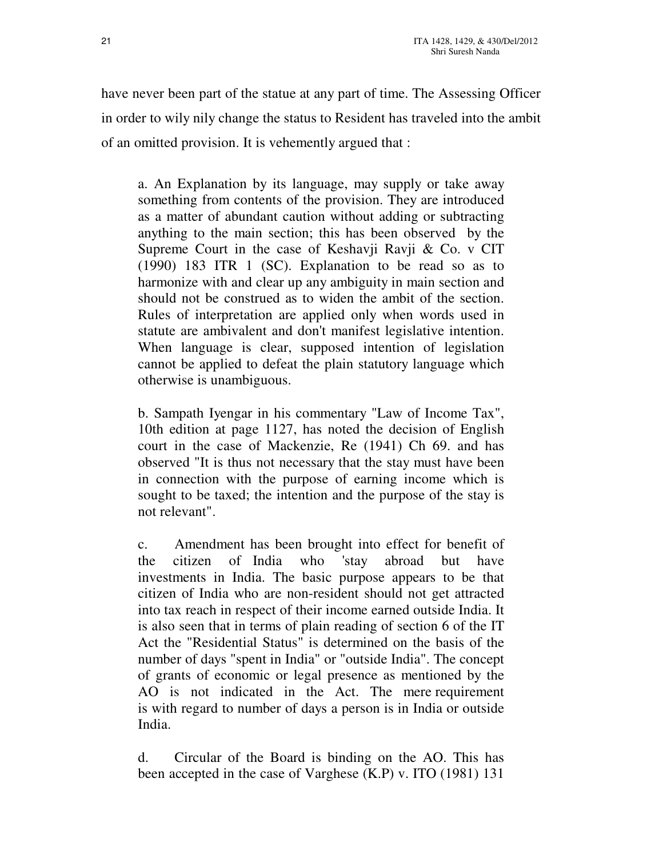have never been part of the statue at any part of time. The Assessing Officer in order to wily nily change the status to Resident has traveled into the ambit of an omitted provision. It is vehemently argued that :

a. An Explanation by its language, may supply or take away something from contents of the provision. They are introduced as a matter of abundant caution without adding or subtracting anything to the main section; this has been observed by the Supreme Court in the case of Keshavji Ravji & Co. v CIT (1990) 183 ITR 1 (SC). Explanation to be read so as to harmonize with and clear up any ambiguity in main section and should not be construed as to widen the ambit of the section. Rules of interpretation are applied only when words used in statute are ambivalent and don't manifest legislative intention. When language is clear, supposed intention of legislation cannot be applied to defeat the plain statutory language which otherwise is unambiguous.

b. Sampath Iyengar in his commentary "Law of Income Tax", 10th edition at page 1127, has noted the decision of English court in the case of Mackenzie, Re (1941) Ch 69. and has observed "It is thus not necessary that the stay must have been in connection with the purpose of earning income which is sought to be taxed; the intention and the purpose of the stay is not relevant".

c. Amendment has been brought into effect for benefit of the citizen of India who 'stay abroad but have investments in India. The basic purpose appears to be that citizen of India who are non-resident should not get attracted into tax reach in respect of their income earned outside India. It is also seen that in terms of plain reading of section 6 of the IT Act the "Residential Status" is determined on the basis of the number of days "spent in India" or "outside India". The concept of grants of economic or legal presence as mentioned by the AO is not indicated in the Act. The mere requirement is with regard to number of days a person is in India or outside India.

d. Circular of the Board is binding on the AO. This has been accepted in the case of Varghese (K.P) v. ITO (1981) 131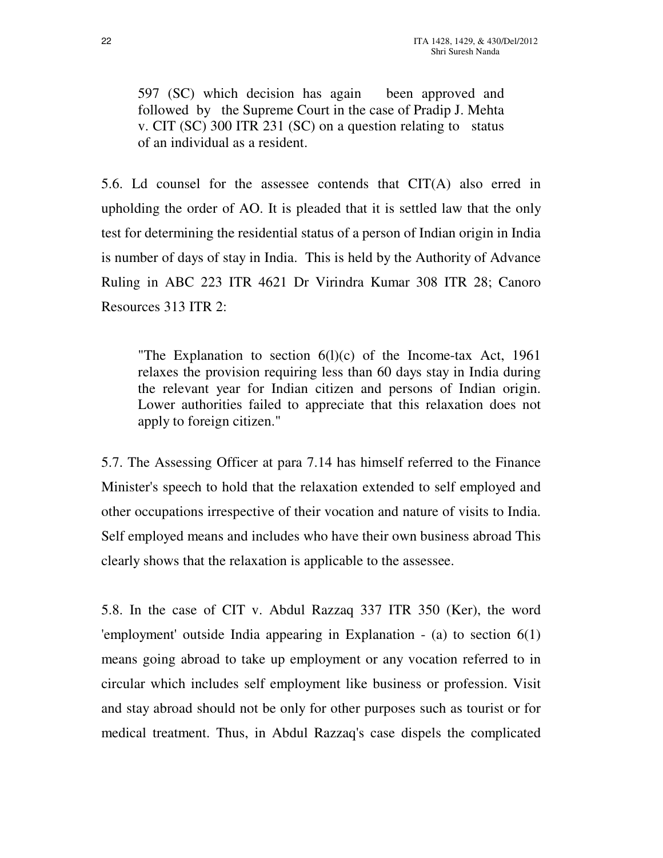597 (SC) which decision has again been approved and followed by the Supreme Court in the case of Pradip J. Mehta v. CIT (SC) 300 ITR 231 (SC) on a question relating to status of an individual as a resident.

5.6. Ld counsel for the assessee contends that CIT(A) also erred in upholding the order of AO. It is pleaded that it is settled law that the only test for determining the residential status of a person of Indian origin in India is number of days of stay in India. This is held by the Authority of Advance Ruling in ABC 223 ITR 4621 Dr Virindra Kumar 308 ITR 28; Canoro Resources 313 ITR 2:

"The Explanation to section  $6(1)(c)$  of the Income-tax Act, 1961 relaxes the provision requiring less than 60 days stay in India during the relevant year for Indian citizen and persons of Indian origin. Lower authorities failed to appreciate that this relaxation does not apply to foreign citizen."

5.7. The Assessing Officer at para 7.14 has himself referred to the Finance Minister's speech to hold that the relaxation extended to self employed and other occupations irrespective of their vocation and nature of visits to India. Self employed means and includes who have their own business abroad This clearly shows that the relaxation is applicable to the assessee.

5.8. In the case of CIT v. Abdul Razzaq 337 ITR 350 (Ker), the word 'employment' outside India appearing in Explanation - (a) to section 6(1) means going abroad to take up employment or any vocation referred to in circular which includes self employment like business or profession. Visit and stay abroad should not be only for other purposes such as tourist or for medical treatment. Thus, in Abdul Razzaq's case dispels the complicated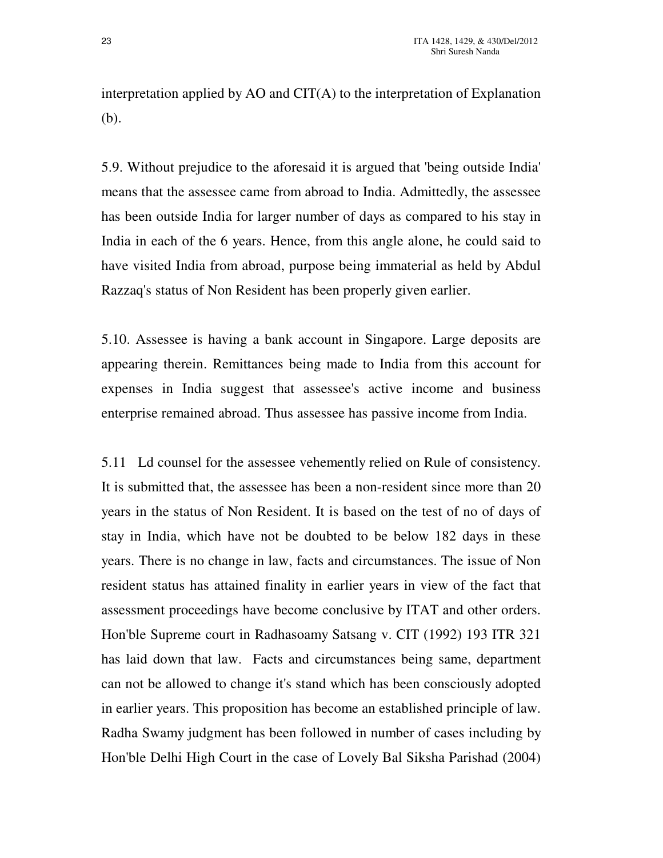interpretation applied by AO and CIT(A) to the interpretation of Explanation (b).

5.9. Without prejudice to the aforesaid it is argued that 'being outside India' means that the assessee came from abroad to India. Admittedly, the assessee has been outside India for larger number of days as compared to his stay in India in each of the 6 years. Hence, from this angle alone, he could said to have visited India from abroad, purpose being immaterial as held by Abdul Razzaq's status of Non Resident has been properly given earlier.

5.10. Assessee is having a bank account in Singapore. Large deposits are appearing therein. Remittances being made to India from this account for expenses in India suggest that assessee's active income and business enterprise remained abroad. Thus assessee has passive income from India.

5.11 Ld counsel for the assessee vehemently relied on Rule of consistency. It is submitted that, the assessee has been a non-resident since more than 20 years in the status of Non Resident. It is based on the test of no of days of stay in India, which have not be doubted to be below 182 days in these years. There is no change in law, facts and circumstances. The issue of Non resident status has attained finality in earlier years in view of the fact that assessment proceedings have become conclusive by ITAT and other orders. Hon'ble Supreme court in Radhasoamy Satsang v. CIT (1992) 193 ITR 321 has laid down that law. Facts and circumstances being same, department can not be allowed to change it's stand which has been consciously adopted in earlier years. This proposition has become an established principle of law. Radha Swamy judgment has been followed in number of cases including by Hon'ble Delhi High Court in the case of Lovely Bal Siksha Parishad (2004)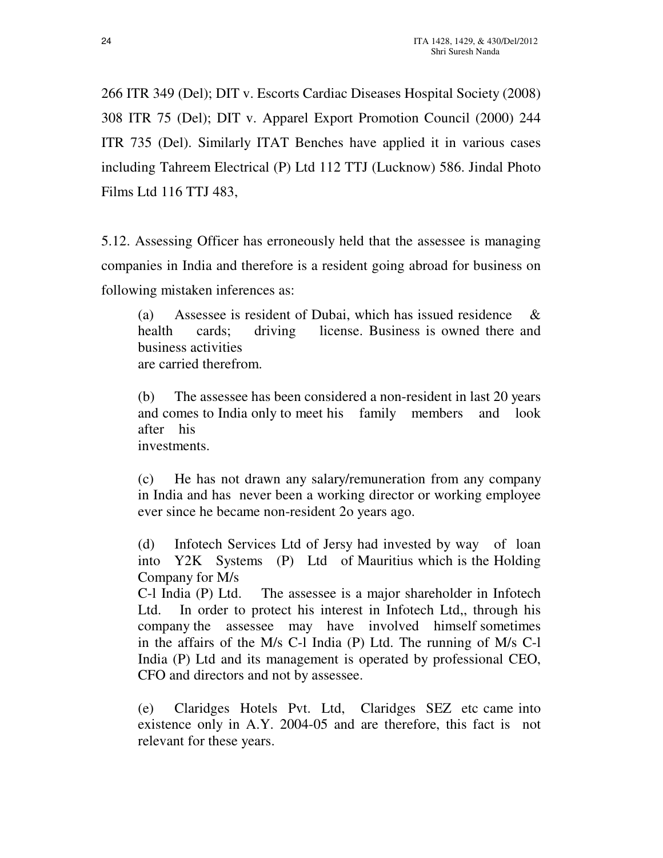266 ITR 349 (Del); DIT v. Escorts Cardiac Diseases Hospital Society (2008) 308 ITR 75 (Del); DIT v. Apparel Export Promotion Council (2000) 244 ITR 735 (Del). Similarly ITAT Benches have applied it in various cases including Tahreem Electrical (P) Ltd 112 TTJ (Lucknow) 586. Jindal Photo Films Ltd 116 TTJ 483,

5.12. Assessing Officer has erroneously held that the assessee is managing companies in India and therefore is a resident going abroad for business on following mistaken inferences as:

(a) Assessee is resident of Dubai, which has issued residence & health cards; driving license. Business is owned there and business activities are carried therefrom.

(b) The assessee has been considered a non-resident in last 20 years and comes to India only to meet his family members and look after his investments.

(c) He has not drawn any salary/remuneration from any company in India and has never been a working director or working employee ever since he became non-resident 2o years ago.

(d) Infotech Services Ltd of Jersy had invested by way of loan into Y2K Systems (P) Ltd of Mauritius which is the Holding Company for M/s

C-l India (P) Ltd. The assessee is a major shareholder in Infotech Ltd. In order to protect his interest in Infotech Ltd,, through his company the assessee may have involved himself sometimes in the affairs of the M/s C-l India (P) Ltd. The running of M/s C-l India (P) Ltd and its management is operated by professional CEO, CFO and directors and not by assessee.

(e) Claridges Hotels Pvt. Ltd, Claridges SEZ etc came into existence only in A.Y. 2004-05 and are therefore, this fact is not relevant for these years.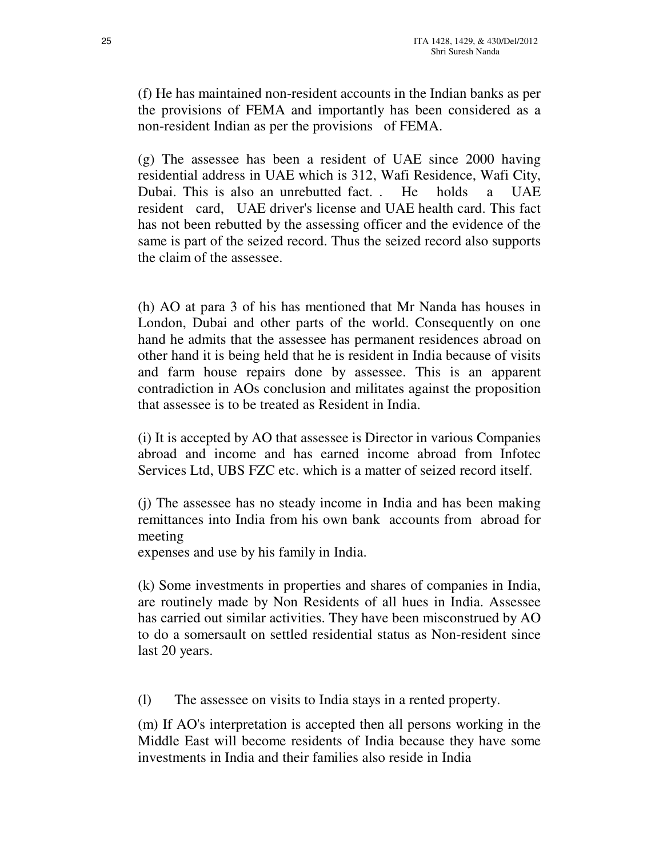(f) He has maintained non-resident accounts in the Indian banks as per the provisions of FEMA and importantly has been considered as a non-resident Indian as per the provisions of FEMA.

(g) The assessee has been a resident of UAE since 2000 having residential address in UAE which is 312, Wafi Residence, Wafi City, Dubai. This is also an unrebutted fact. . He holds a UAE resident card, UAE driver's license and UAE health card. This fact has not been rebutted by the assessing officer and the evidence of the same is part of the seized record. Thus the seized record also supports the claim of the assessee.

(h) AO at para 3 of his has mentioned that Mr Nanda has houses in London, Dubai and other parts of the world. Consequently on one hand he admits that the assessee has permanent residences abroad on other hand it is being held that he is resident in India because of visits and farm house repairs done by assessee. This is an apparent contradiction in AOs conclusion and militates against the proposition that assessee is to be treated as Resident in India.

(i) It is accepted by AO that assessee is Director in various Companies abroad and income and has earned income abroad from Infotec Services Ltd, UBS FZC etc. which is a matter of seized record itself.

(j) The assessee has no steady income in India and has been making remittances into India from his own bank accounts from abroad for meeting

expenses and use by his family in India.

(k) Some investments in properties and shares of companies in India, are routinely made by Non Residents of all hues in India. Assessee has carried out similar activities. They have been misconstrued by AO to do a somersault on settled residential status as Non-resident since last 20 years.

(l) The assessee on visits to India stays in a rented property.

(m) If AO's interpretation is accepted then all persons working in the Middle East will become residents of India because they have some investments in India and their families also reside in India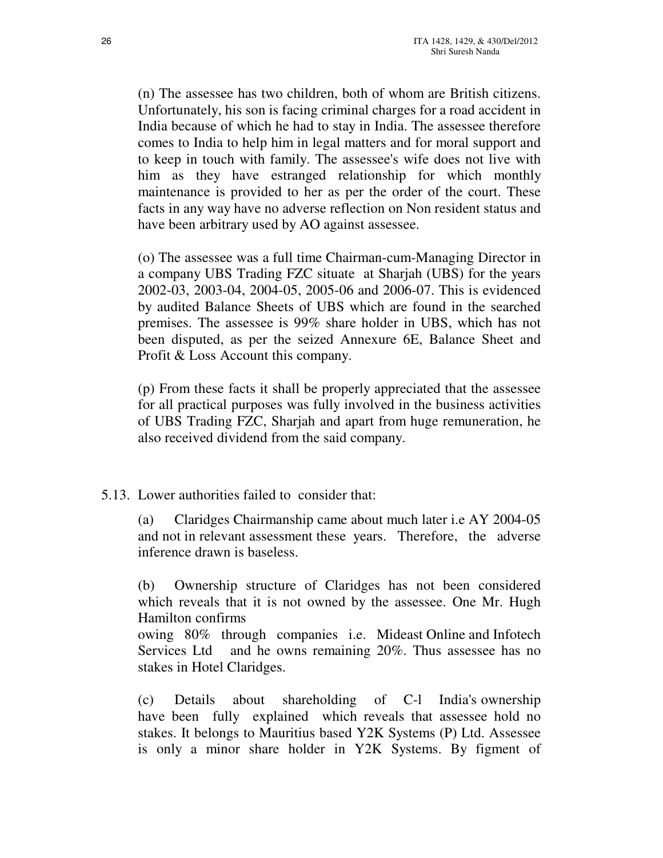(n) The assessee has two children, both of whom are British citizens. Unfortunately, his son is facing criminal charges for a road accident in India because of which he had to stay in India. The assessee therefore comes to India to help him in legal matters and for moral support and to keep in touch with family. The assessee's wife does not live with him as they have estranged relationship for which monthly maintenance is provided to her as per the order of the court. These facts in any way have no adverse reflection on Non resident status and have been arbitrary used by AO against assessee.

(o) The assessee was a full time Chairman-cum-Managing Director in a company UBS Trading FZC situate at Sharjah (UBS) for the years 2002-03, 2003-04, 2004-05, 2005-06 and 2006-07. This is evidenced by audited Balance Sheets of UBS which are found in the searched premises. The assessee is 99% share holder in UBS, which has not been disputed, as per the seized Annexure 6E, Balance Sheet and Profit & Loss Account this company.

(p) From these facts it shall be properly appreciated that the assessee for all practical purposes was fully involved in the business activities of UBS Trading FZC, Sharjah and apart from huge remuneration, he also received dividend from the said company.

## 5.13. Lower authorities failed to consider that:

(a) Claridges Chairmanship came about much later i.e AY 2004-05 and not in relevant assessment these years. Therefore, the adverse inference drawn is baseless.

(b) Ownership structure of Claridges has not been considered which reveals that it is not owned by the assessee. One Mr. Hugh Hamilton confirms

owing 80% through companies i.e. Mideast Online and Infotech Services Ltd and he owns remaining 20%. Thus assessee has no stakes in Hotel Claridges.

(c) Details about shareholding of C-l India's ownership have been fully explained which reveals that assessee hold no stakes. It belongs to Mauritius based Y2K Systems (P) Ltd. Assessee is only a minor share holder in Y2K Systems. By figment of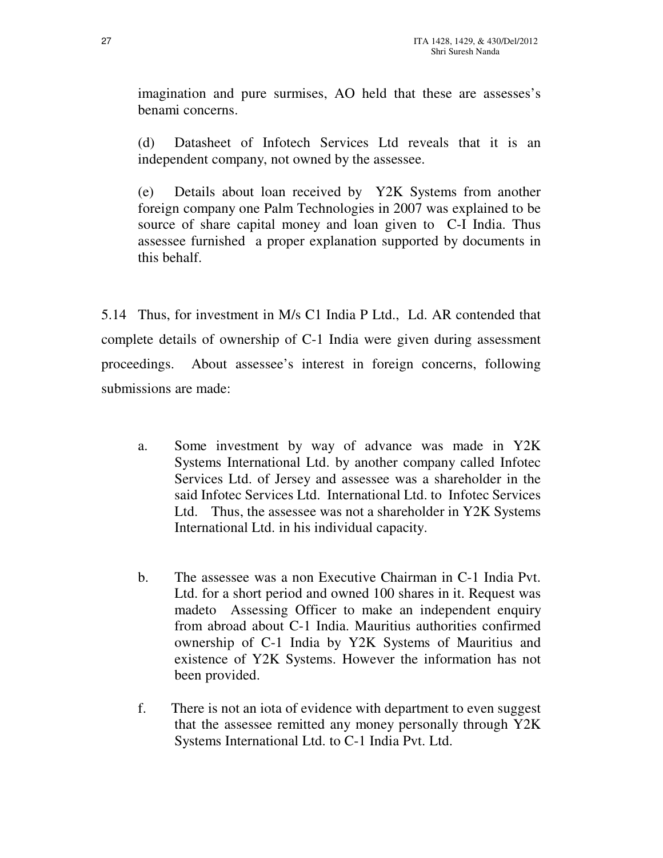imagination and pure surmises, AO held that these are assesses's benami concerns.

(d) Datasheet of Infotech Services Ltd reveals that it is an independent company, not owned by the assessee.

(e) Details about loan received by Y2K Systems from another foreign company one Palm Technologies in 2007 was explained to be source of share capital money and loan given to C-I India. Thus assessee furnished a proper explanation supported by documents in this behalf.

5.14 Thus, for investment in M/s C1 India P Ltd., Ld. AR contended that complete details of ownership of C-1 India were given during assessment proceedings. About assessee's interest in foreign concerns, following submissions are made:

- a. Some investment by way of advance was made in Y2K Systems International Ltd. by another company called Infotec Services Ltd. of Jersey and assessee was a shareholder in the said Infotec Services Ltd. International Ltd. to Infotec Services Ltd. Thus, the assessee was not a shareholder in Y2K Systems International Ltd. in his individual capacity.
- b. The assessee was a non Executive Chairman in C-1 India Pvt. Ltd. for a short period and owned 100 shares in it. Request was madeto Assessing Officer to make an independent enquiry from abroad about C-1 India. Mauritius authorities confirmed ownership of C-1 India by Y2K Systems of Mauritius and existence of Y2K Systems. However the information has not been provided.
- f. There is not an iota of evidence with department to even suggest that the assessee remitted any money personally through Y2K Systems International Ltd. to C-1 India Pvt. Ltd.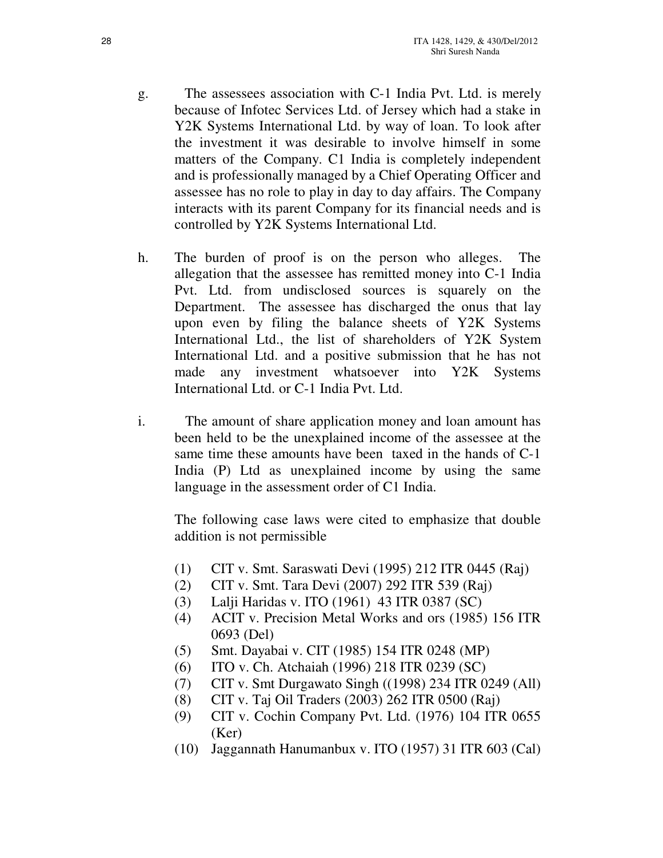- g. The assessees association with C-1 India Pvt. Ltd. is merely because of Infotec Services Ltd. of Jersey which had a stake in Y2K Systems International Ltd. by way of loan. To look after the investment it was desirable to involve himself in some matters of the Company. C1 India is completely independent and is professionally managed by a Chief Operating Officer and assessee has no role to play in day to day affairs. The Company interacts with its parent Company for its financial needs and is controlled by Y2K Systems International Ltd.
- h. The burden of proof is on the person who alleges. The allegation that the assessee has remitted money into C-1 India Pvt. Ltd. from undisclosed sources is squarely on the Department. The assessee has discharged the onus that lay upon even by filing the balance sheets of Y2K Systems International Ltd., the list of shareholders of Y2K System International Ltd. and a positive submission that he has not made any investment whatsoever into Y2K Systems International Ltd. or C-1 India Pvt. Ltd.
- i. The amount of share application money and loan amount has been held to be the unexplained income of the assessee at the same time these amounts have been taxed in the hands of C-1 India (P) Ltd as unexplained income by using the same language in the assessment order of C1 India.

The following case laws were cited to emphasize that double addition is not permissible

- (1) CIT v. Smt. Saraswati Devi (1995) 212 ITR 0445 (Raj)
- (2) CIT v. Smt. Tara Devi (2007) 292 ITR 539 (Raj)
- (3) Lalji Haridas v. ITO (1961) 43 ITR 0387 (SC)
- (4) ACIT v. Precision Metal Works and ors (1985) 156 ITR 0693 (Del)
- (5) Smt. Dayabai v. CIT (1985) 154 ITR 0248 (MP)
- (6) ITO v. Ch. Atchaiah (1996) 218 ITR 0239 (SC)
- (7) CIT v. Smt Durgawato Singh ((1998) 234 ITR 0249 (All)
- (8) CIT v. Taj Oil Traders (2003) 262 ITR 0500 (Raj)
- (9) CIT v. Cochin Company Pvt. Ltd. (1976) 104 ITR 0655 (Ker)
- (10) Jaggannath Hanumanbux v. ITO (1957) 31 ITR 603 (Cal)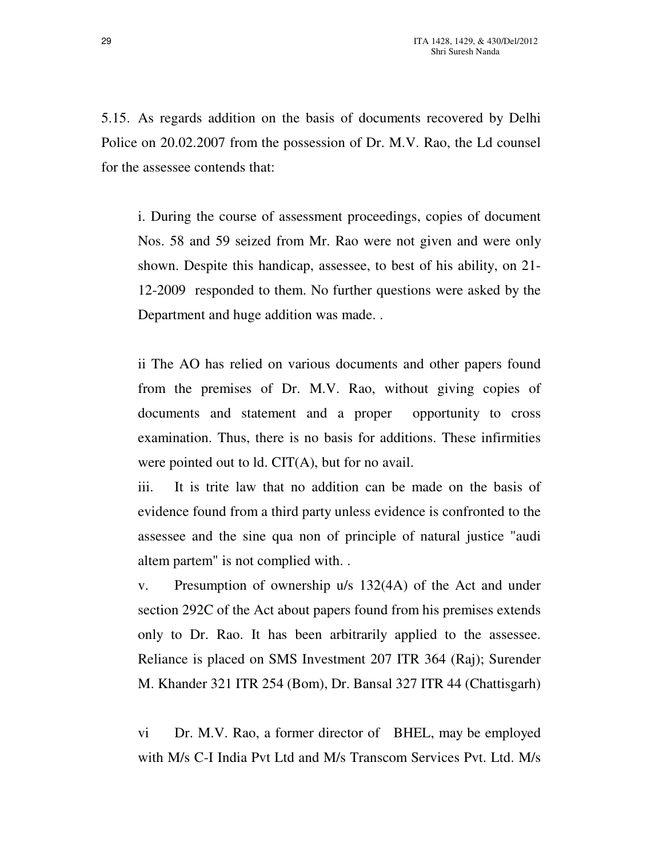5.15. As regards addition on the basis of documents recovered by Delhi Police on 20.02.2007 from the possession of Dr. M.V. Rao, the Ld counsel for the assessee contends that:

i. During the course of assessment proceedings, copies of document Nos. 58 and 59 seized from Mr. Rao were not given and were only shown. Despite this handicap, assessee, to best of his ability, on 21- 12-2009 responded to them. No further questions were asked by the Department and huge addition was made. .

ii The AO has relied on various documents and other papers found from the premises of Dr. M.V. Rao, without giving copies of documents and statement and a proper opportunity to cross examination. Thus, there is no basis for additions. These infirmities were pointed out to ld. CIT(A), but for no avail.

iii. It is trite law that no addition can be made on the basis of evidence found from a third party unless evidence is confronted to the assessee and the sine qua non of principle of natural justice "audi altem partem" is not complied with. .

v. Presumption of ownership u/s 132(4A) of the Act and under section 292C of the Act about papers found from his premises extends only to Dr. Rao. It has been arbitrarily applied to the assessee. Reliance is placed on SMS Investment 207 ITR 364 (Raj); Surender M. Khander 321 ITR 254 (Bom), Dr. Bansal 327 ITR 44 (Chattisgarh)

vi Dr. M.V. Rao, a former director of BHEL, may be employed with M/s C-I India Pvt Ltd and M/s Transcom Services Pvt. Ltd. M/s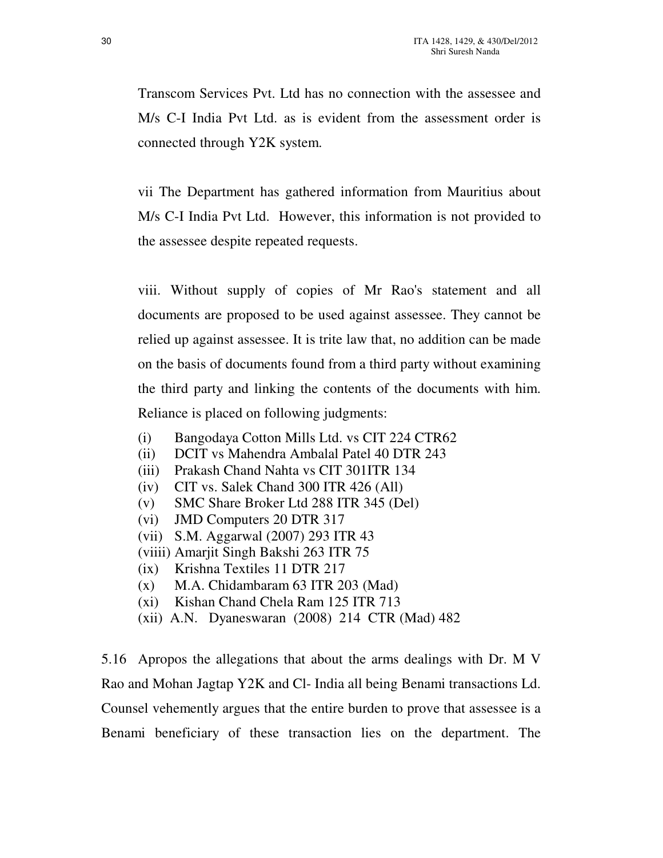Transcom Services Pvt. Ltd has no connection with the assessee and M/s C-I India Pvt Ltd. as is evident from the assessment order is connected through Y2K system.

vii The Department has gathered information from Mauritius about M/s C-I India Pvt Ltd. However, this information is not provided to the assessee despite repeated requests.

viii. Without supply of copies of Mr Rao's statement and all documents are proposed to be used against assessee. They cannot be relied up against assessee. It is trite law that, no addition can be made on the basis of documents found from a third party without examining the third party and linking the contents of the documents with him. Reliance is placed on following judgments:

- (i) Bangodaya Cotton Mills Ltd. vs CIT 224 CTR62
- (ii) DCIT vs Mahendra Ambalal Patel 40 DTR 243
- (iii) Prakash Chand Nahta vs CIT 301ITR 134
- (iv) CIT vs. Salek Chand 300 ITR 426 (All)
- (v) SMC Share Broker Ltd 288 ITR 345 (Del)
- (vi) JMD Computers 20 DTR 317
- (vii) S.M. Aggarwal (2007) 293 ITR 43
- (viiii) Amarjit Singh Bakshi 263 ITR 75
- (ix) Krishna Textiles 11 DTR 217
- (x) M.A. Chidambaram 63 ITR 203 (Mad)
- (xi) Kishan Chand Chela Ram 125 ITR 713
- (xii) A.N. Dyaneswaran (2008) 214 CTR (Mad) 482

5.16 Apropos the allegations that about the arms dealings with Dr. M V Rao and Mohan Jagtap Y2K and Cl- India all being Benami transactions Ld. Counsel vehemently argues that the entire burden to prove that assessee is a Benami beneficiary of these transaction lies on the department. The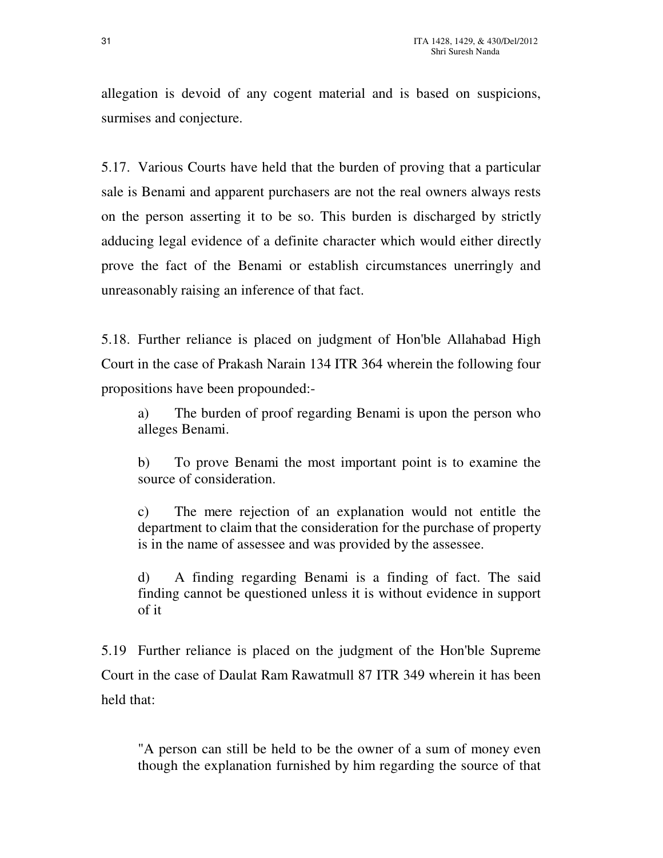allegation is devoid of any cogent material and is based on suspicions, surmises and conjecture.

5.17. Various Courts have held that the burden of proving that a particular sale is Benami and apparent purchasers are not the real owners always rests on the person asserting it to be so. This burden is discharged by strictly adducing legal evidence of a definite character which would either directly prove the fact of the Benami or establish circumstances unerringly and unreasonably raising an inference of that fact.

5.18. Further reliance is placed on judgment of Hon'ble Allahabad High Court in the case of Prakash Narain 134 ITR 364 wherein the following four propositions have been propounded:-

a) The burden of proof regarding Benami is upon the person who alleges Benami.

b) To prove Benami the most important point is to examine the source of consideration.

c) The mere rejection of an explanation would not entitle the department to claim that the consideration for the purchase of property is in the name of assessee and was provided by the assessee.

d) A finding regarding Benami is a finding of fact. The said finding cannot be questioned unless it is without evidence in support of it

5.19 Further reliance is placed on the judgment of the Hon'ble Supreme Court in the case of Daulat Ram Rawatmull 87 ITR 349 wherein it has been held that:

"A person can still be held to be the owner of a sum of money even though the explanation furnished by him regarding the source of that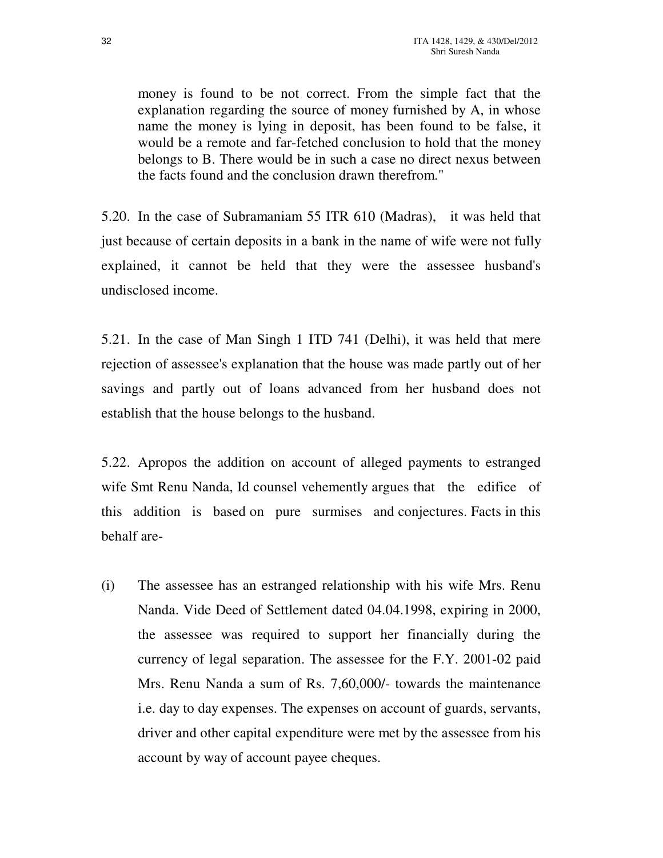money is found to be not correct. From the simple fact that the explanation regarding the source of money furnished by A, in whose name the money is lying in deposit, has been found to be false, it would be a remote and far-fetched conclusion to hold that the money belongs to B. There would be in such a case no direct nexus between the facts found and the conclusion drawn therefrom."

5.20. In the case of Subramaniam 55 ITR 610 (Madras), it was held that just because of certain deposits in a bank in the name of wife were not fully explained, it cannot be held that they were the assessee husband's undisclosed income.

5.21. In the case of Man Singh 1 ITD 741 (Delhi), it was held that mere rejection of assessee's explanation that the house was made partly out of her savings and partly out of loans advanced from her husband does not establish that the house belongs to the husband.

5.22. Apropos the addition on account of alleged payments to estranged wife Smt Renu Nanda, Id counsel vehemently argues that the edifice of this addition is based on pure surmises and conjectures. Facts in this behalf are-

(i) The assessee has an estranged relationship with his wife Mrs. Renu Nanda. Vide Deed of Settlement dated 04.04.1998, expiring in 2000, the assessee was required to support her financially during the currency of legal separation. The assessee for the F.Y. 2001-02 paid Mrs. Renu Nanda a sum of Rs. 7,60,000/- towards the maintenance i.e. day to day expenses. The expenses on account of guards, servants, driver and other capital expenditure were met by the assessee from his account by way of account payee cheques.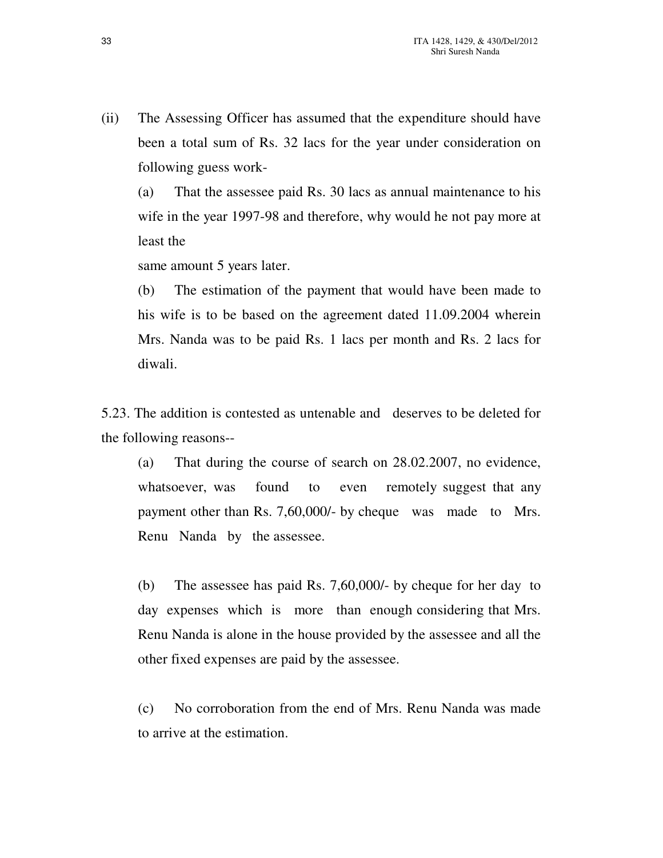(ii) The Assessing Officer has assumed that the expenditure should have been a total sum of Rs. 32 lacs for the year under consideration on following guess work-

(a) That the assessee paid Rs. 30 lacs as annual maintenance to his wife in the year 1997-98 and therefore, why would he not pay more at least the

same amount 5 years later.

(b) The estimation of the payment that would have been made to his wife is to be based on the agreement dated 11.09.2004 wherein Mrs. Nanda was to be paid Rs. 1 lacs per month and Rs. 2 lacs for diwali.

5.23. The addition is contested as untenable and deserves to be deleted for the following reasons--

(a) That during the course of search on 28.02.2007, no evidence, whatsoever, was found to even remotely suggest that any payment other than Rs. 7,60,000/- by cheque was made to Mrs. Renu Nanda by the assessee.

(b) The assessee has paid Rs. 7,60,000/- by cheque for her day to day expenses which is more than enough considering that Mrs. Renu Nanda is alone in the house provided by the assessee and all the other fixed expenses are paid by the assessee.

(c) No corroboration from the end of Mrs. Renu Nanda was made to arrive at the estimation.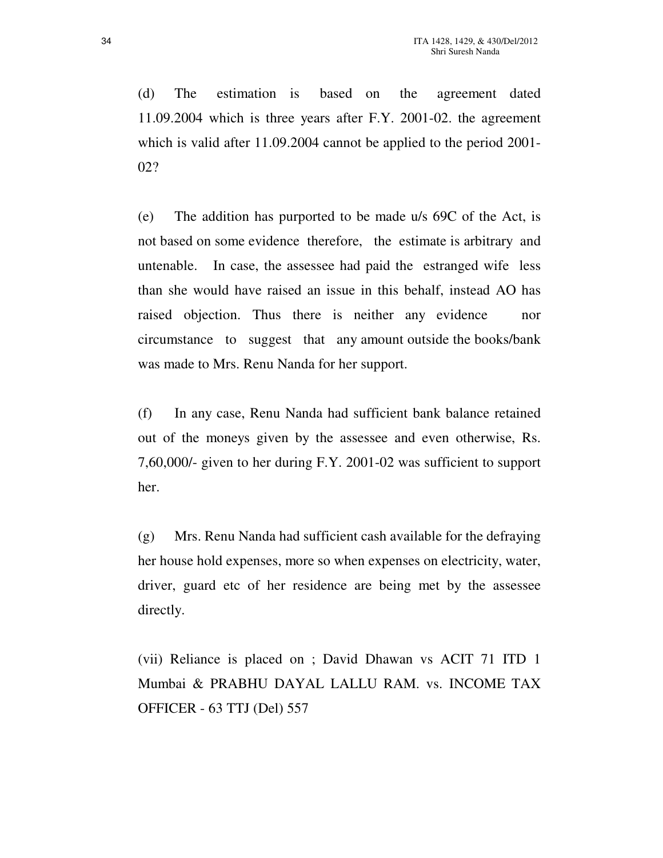(d) The estimation is based on the agreement dated 11.09.2004 which is three years after F.Y. 2001-02. the agreement which is valid after 11.09.2004 cannot be applied to the period 2001-02?

(e) The addition has purported to be made u/s 69C of the Act, is not based on some evidence therefore, the estimate is arbitrary and untenable. In case, the assessee had paid the estranged wife less than she would have raised an issue in this behalf, instead AO has raised objection. Thus there is neither any evidence nor circumstance to suggest that any amount outside the books/bank was made to Mrs. Renu Nanda for her support.

(f) In any case, Renu Nanda had sufficient bank balance retained out of the moneys given by the assessee and even otherwise, Rs. 7,60,000/- given to her during F.Y. 2001-02 was sufficient to support her.

(g) Mrs. Renu Nanda had sufficient cash available for the defraying her house hold expenses, more so when expenses on electricity, water, driver, guard etc of her residence are being met by the assessee directly.

(vii) Reliance is placed on ; David Dhawan vs ACIT 71 ITD 1 Mumbai & PRABHU DAYAL LALLU RAM. vs. INCOME TAX OFFICER - 63 TTJ (Del) 557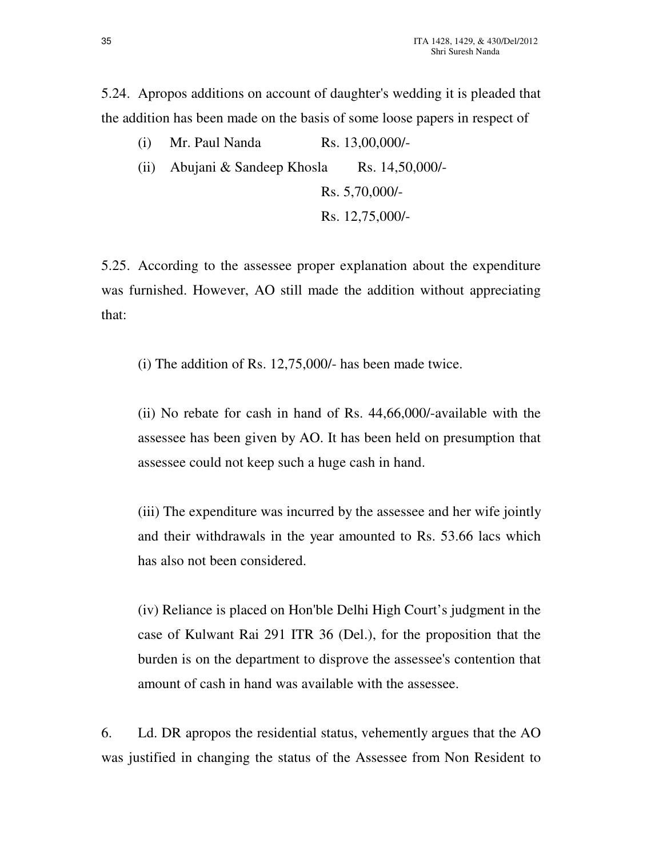5.24. Apropos additions on account of daughter's wedding it is pleaded that the addition has been made on the basis of some loose papers in respect of

| $(1)$ $\ldots$ $\ldots$       |                 |
|-------------------------------|-----------------|
| (ii) Abujani & Sandeep Khosla | Rs. 14,50,000/- |
|                               | Rs. 5,70,000/   |
|                               | Rs. 12,75,000/- |

(i) Mr. Paul Nanda Rs.  $13,00,000/$ 

5.25. According to the assessee proper explanation about the expenditure was furnished. However, AO still made the addition without appreciating that:

(i) The addition of Rs. 12,75,000/- has been made twice.

(ii) No rebate for cash in hand of Rs. 44,66,000/-available with the assessee has been given by AO. It has been held on presumption that assessee could not keep such a huge cash in hand.

(iii) The expenditure was incurred by the assessee and her wife jointly and their withdrawals in the year amounted to Rs. 53.66 lacs which has also not been considered.

(iv) Reliance is placed on Hon'ble Delhi High Court's judgment in the case of Kulwant Rai 291 ITR 36 (Del.), for the proposition that the burden is on the department to disprove the assessee's contention that amount of cash in hand was available with the assessee.

6. Ld. DR apropos the residential status, vehemently argues that the AO was justified in changing the status of the Assessee from Non Resident to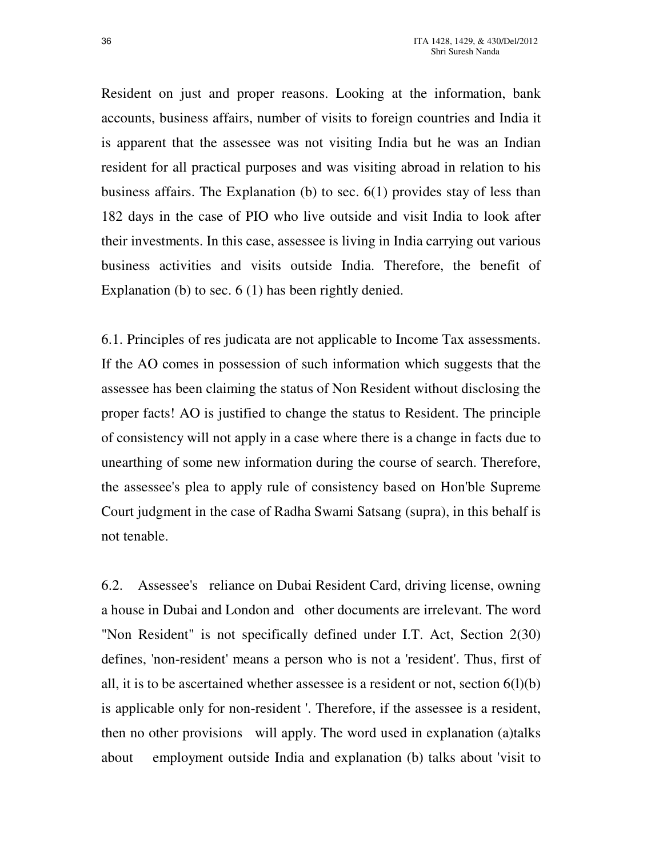Resident on just and proper reasons. Looking at the information, bank accounts, business affairs, number of visits to foreign countries and India it is apparent that the assessee was not visiting India but he was an Indian resident for all practical purposes and was visiting abroad in relation to his business affairs. The Explanation (b) to sec. 6(1) provides stay of less than 182 days in the case of PIO who live outside and visit India to look after their investments. In this case, assessee is living in India carrying out various business activities and visits outside India. Therefore, the benefit of Explanation (b) to sec. 6 (1) has been rightly denied.

6.1. Principles of res judicata are not applicable to Income Tax assessments. If the AO comes in possession of such information which suggests that the assessee has been claiming the status of Non Resident without disclosing the proper facts! AO is justified to change the status to Resident. The principle of consistency will not apply in a case where there is a change in facts due to unearthing of some new information during the course of search. Therefore, the assessee's plea to apply rule of consistency based on Hon'ble Supreme Court judgment in the case of Radha Swami Satsang (supra), in this behalf is not tenable.

6.2. Assessee's reliance on Dubai Resident Card, driving license, owning a house in Dubai and London and other documents are irrelevant. The word "Non Resident" is not specifically defined under I.T. Act, Section 2(30) defines, 'non-resident' means a person who is not a 'resident'. Thus, first of all, it is to be ascertained whether assessee is a resident or not, section  $6(l)(b)$ is applicable only for non-resident '. Therefore, if the assessee is a resident, then no other provisions will apply. The word used in explanation (a)talks about employment outside India and explanation (b) talks about 'visit to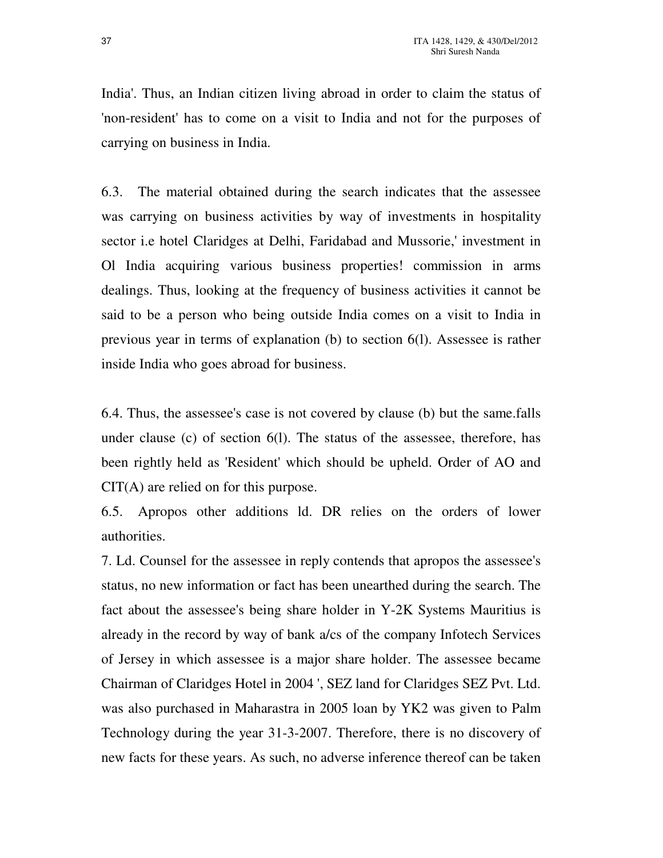India'. Thus, an Indian citizen living abroad in order to claim the status of 'non-resident' has to come on a visit to India and not for the purposes of carrying on business in India.

6.3. The material obtained during the search indicates that the assessee was carrying on business activities by way of investments in hospitality sector i.e hotel Claridges at Delhi, Faridabad and Mussorie,' investment in Ol India acquiring various business properties! commission in arms dealings. Thus, looking at the frequency of business activities it cannot be said to be a person who being outside India comes on a visit to India in previous year in terms of explanation (b) to section 6(l). Assessee is rather inside India who goes abroad for business.

6.4. Thus, the assessee's case is not covered by clause (b) but the same.falls under clause (c) of section 6(l). The status of the assessee, therefore, has been rightly held as 'Resident' which should be upheld. Order of AO and CIT(A) are relied on for this purpose.

6.5. Apropos other additions ld. DR relies on the orders of lower authorities.

7. Ld. Counsel for the assessee in reply contends that apropos the assessee's status, no new information or fact has been unearthed during the search. The fact about the assessee's being share holder in Y-2K Systems Mauritius is already in the record by way of bank a/cs of the company Infotech Services of Jersey in which assessee is a major share holder. The assessee became Chairman of Claridges Hotel in 2004 ', SEZ land for Claridges SEZ Pvt. Ltd. was also purchased in Maharastra in 2005 loan by YK2 was given to Palm Technology during the year 31-3-2007. Therefore, there is no discovery of new facts for these years. As such, no adverse inference thereof can be taken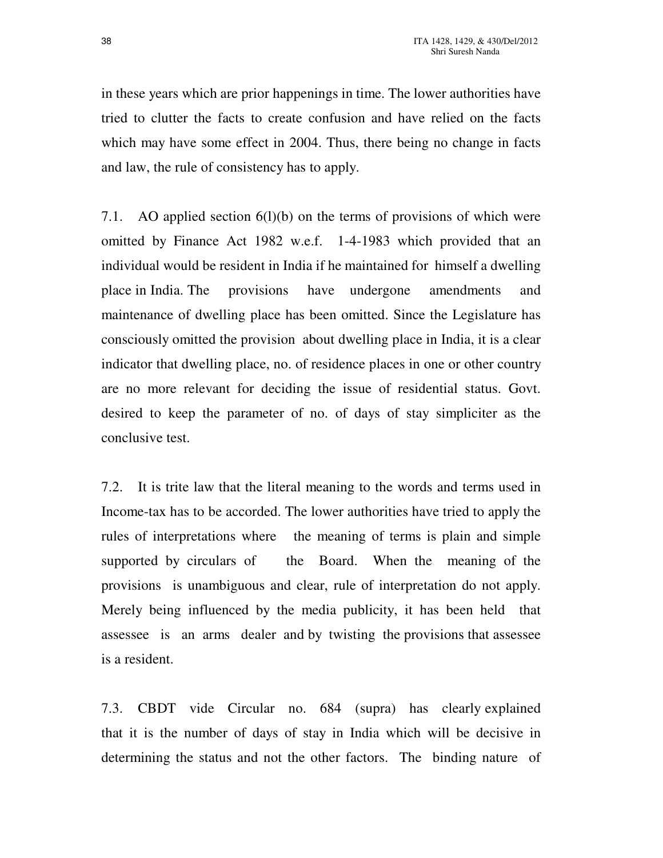in these years which are prior happenings in time. The lower authorities have tried to clutter the facts to create confusion and have relied on the facts which may have some effect in 2004. Thus, there being no change in facts and law, the rule of consistency has to apply.

7.1. AO applied section 6(l)(b) on the terms of provisions of which were omitted by Finance Act 1982 w.e.f. 1-4-1983 which provided that an individual would be resident in India if he maintained for himself a dwelling place in India. The provisions have undergone amendments and maintenance of dwelling place has been omitted. Since the Legislature has consciously omitted the provision about dwelling place in India, it is a clear indicator that dwelling place, no. of residence places in one or other country are no more relevant for deciding the issue of residential status. Govt. desired to keep the parameter of no. of days of stay simpliciter as the conclusive test.

7.2. It is trite law that the literal meaning to the words and terms used in Income-tax has to be accorded. The lower authorities have tried to apply the rules of interpretations where the meaning of terms is plain and simple supported by circulars of the Board. When the meaning of the provisions is unambiguous and clear, rule of interpretation do not apply. Merely being influenced by the media publicity, it has been held that assessee is an arms dealer and by twisting the provisions that assessee is a resident.

7.3. CBDT vide Circular no. 684 (supra) has clearly explained that it is the number of days of stay in India which will be decisive in determining the status and not the other factors. The binding nature of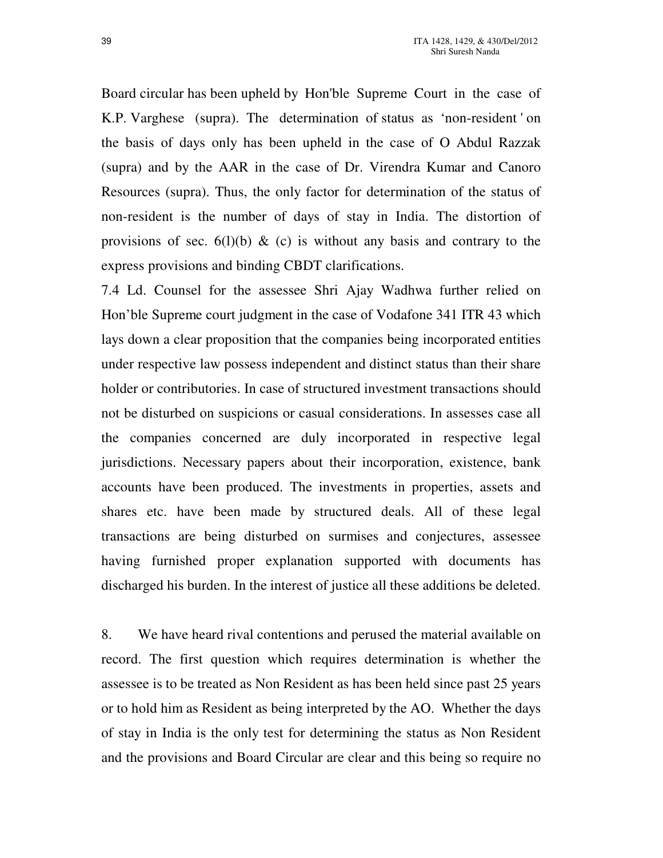Board circular has been upheld by Hon'ble Supreme Court in the case of K.P. Varghese (supra). The determination of status as 'non-resident ' on the basis of days only has been upheld in the case of O Abdul Razzak (supra) and by the AAR in the case of Dr. Virendra Kumar and Canoro Resources (supra). Thus, the only factor for determination of the status of non-resident is the number of days of stay in India. The distortion of provisions of sec. 6(1)(b) & (c) is without any basis and contrary to the express provisions and binding CBDT clarifications.

7.4 Ld. Counsel for the assessee Shri Ajay Wadhwa further relied on Hon'ble Supreme court judgment in the case of Vodafone 341 ITR 43 which lays down a clear proposition that the companies being incorporated entities under respective law possess independent and distinct status than their share holder or contributories. In case of structured investment transactions should not be disturbed on suspicions or casual considerations. In assesses case all the companies concerned are duly incorporated in respective legal jurisdictions. Necessary papers about their incorporation, existence, bank accounts have been produced. The investments in properties, assets and shares etc. have been made by structured deals. All of these legal transactions are being disturbed on surmises and conjectures, assessee having furnished proper explanation supported with documents has discharged his burden. In the interest of justice all these additions be deleted.

8. We have heard rival contentions and perused the material available on record. The first question which requires determination is whether the assessee is to be treated as Non Resident as has been held since past 25 years or to hold him as Resident as being interpreted by the AO. Whether the days of stay in India is the only test for determining the status as Non Resident and the provisions and Board Circular are clear and this being so require no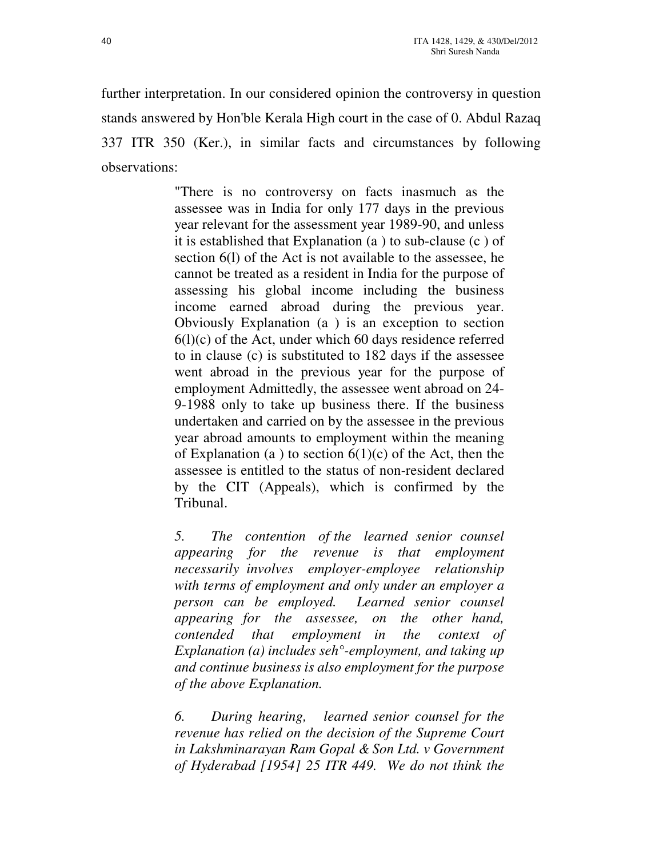further interpretation. In our considered opinion the controversy in question stands answered by Hon'ble Kerala High court in the case of 0. Abdul Razaq 337 ITR 350 (Ker.), in similar facts and circumstances by following observations:

> "There is no controversy on facts inasmuch as the assessee was in India for only 177 days in the previous year relevant for the assessment year 1989-90, and unless it is established that Explanation (a ) to sub-clause (c ) of section 6(l) of the Act is not available to the assessee, he cannot be treated as a resident in India for the purpose of assessing his global income including the business income earned abroad during the previous year. Obviously Explanation (a ) is an exception to section  $6(l)(c)$  of the Act, under which 60 days residence referred to in clause (c) is substituted to 182 days if the assessee went abroad in the previous year for the purpose of employment Admittedly, the assessee went abroad on 24- 9-1988 only to take up business there. If the business undertaken and carried on by the assessee in the previous year abroad amounts to employment within the meaning of Explanation (a) to section  $6(1)(c)$  of the Act, then the assessee is entitled to the status of non-resident declared by the CIT (Appeals), which is confirmed by the Tribunal.

> *5. The contention of the learned senior counsel appearing for the revenue is that employment necessarily involves employer-employee relationship with terms of employment and only under an employer a person can be employed. Learned senior counsel appearing for the assessee, on the other hand, contended that employment in the context of Explanation (a) includes seh°-employment, and taking up and continue business is also employment for the purpose of the above Explanation.*

> *6. During hearing, learned senior counsel for the revenue has relied on the decision of the Supreme Court in Lakshminarayan Ram Gopal & Son Ltd. v Government of Hyderabad [1954] 25 ITR 449. We do not think the*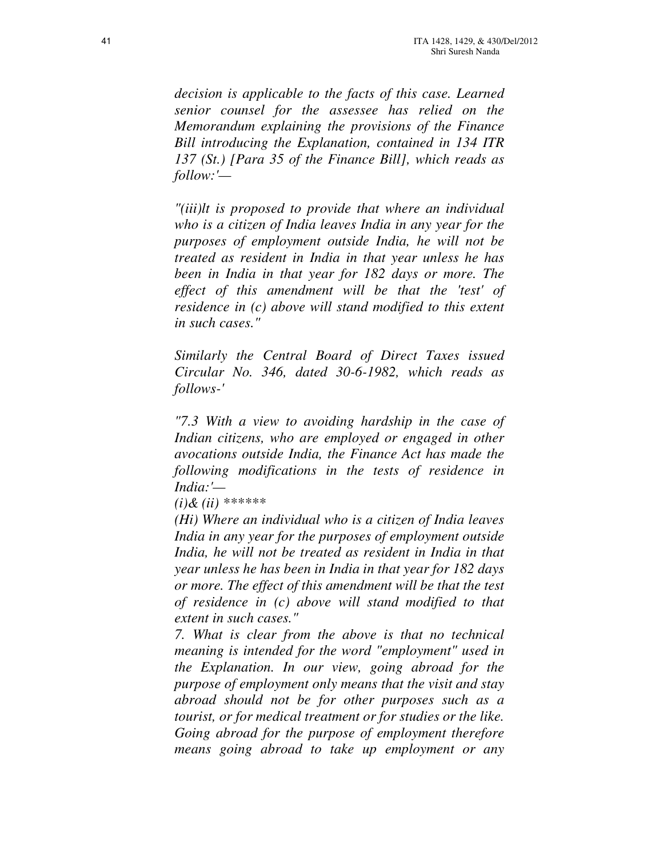*decision is applicable to the facts of this case. Learned senior counsel for the assessee has relied on the Memorandum explaining the provisions of the Finance Bill introducing the Explanation, contained in 134 ITR 137 (St.) [Para 35 of the Finance Bill], which reads as follow:'—* 

*"(iii)lt is proposed to provide that where an individual who is a citizen of India leaves India in any year for the purposes of employment outside India, he will not be treated as resident in India in that year unless he has been in India in that year for 182 days or more. The effect of this amendment will be that the 'test' of residence in (c) above will stand modified to this extent in such cases."* 

*Similarly the Central Board of Direct Taxes issued Circular No. 346, dated 30-6-1982, which reads as follows-'* 

*"7.3 With a view to avoiding hardship in the case of Indian citizens, who are employed or engaged in other avocations outside India, the Finance Act has made the following modifications in the tests of residence in India:'—* 

*(i)& (ii) \*\*\*\*\*\** 

*(Hi) Where an individual who is a citizen of India leaves India in any year for the purposes of employment outside India, he will not be treated as resident in India in that year unless he has been in India in that year for 182 days or more. The effect of this amendment will be that the test of residence in (c) above will stand modified to that extent in such cases."* 

*7. What is clear from the above is that no technical meaning is intended for the word "employment" used in the Explanation. In our view, going abroad for the purpose of employment only means that the visit and stay abroad should not be for other purposes such as a tourist, or for medical treatment or for studies or the like. Going abroad for the purpose of employment therefore means going abroad to take up employment or any*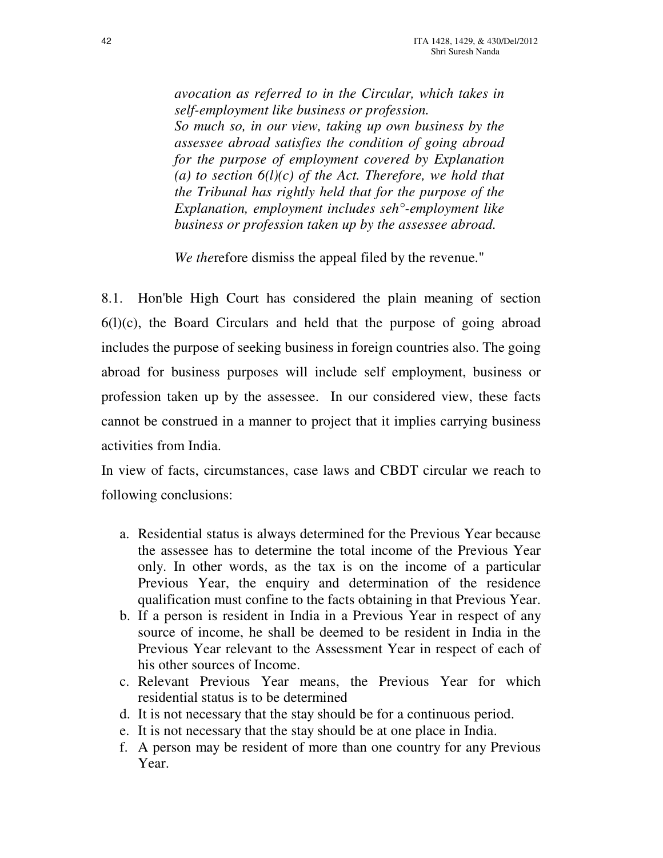*avocation as referred to in the Circular, which takes in self-employment like business or profession. So much so, in our view, taking up own business by the assessee abroad satisfies the condition of going abroad for the purpose of employment covered by Explanation*  (a) to section  $6(l)(c)$  of the Act. Therefore, we hold that *the Tribunal has rightly held that for the purpose of the Explanation, employment includes seh°-employment like business or profession taken up by the assessee abroad.* 

*We the*refore dismiss the appeal filed by the revenue."

8.1. Hon'ble High Court has considered the plain meaning of section  $6(1)(c)$ , the Board Circulars and held that the purpose of going abroad includes the purpose of seeking business in foreign countries also. The going abroad for business purposes will include self employment, business or profession taken up by the assessee. In our considered view, these facts cannot be construed in a manner to project that it implies carrying business activities from India.

In view of facts, circumstances, case laws and CBDT circular we reach to following conclusions:

- a. Residential status is always determined for the Previous Year because the assessee has to determine the total income of the Previous Year only. In other words, as the tax is on the income of a particular Previous Year, the enquiry and determination of the residence qualification must confine to the facts obtaining in that Previous Year.
- b. If a person is resident in India in a Previous Year in respect of any source of income, he shall be deemed to be resident in India in the Previous Year relevant to the Assessment Year in respect of each of his other sources of Income.
- c. Relevant Previous Year means, the Previous Year for which residential status is to be determined
- d. It is not necessary that the stay should be for a continuous period.
- e. It is not necessary that the stay should be at one place in India.
- f. A person may be resident of more than one country for any Previous Year.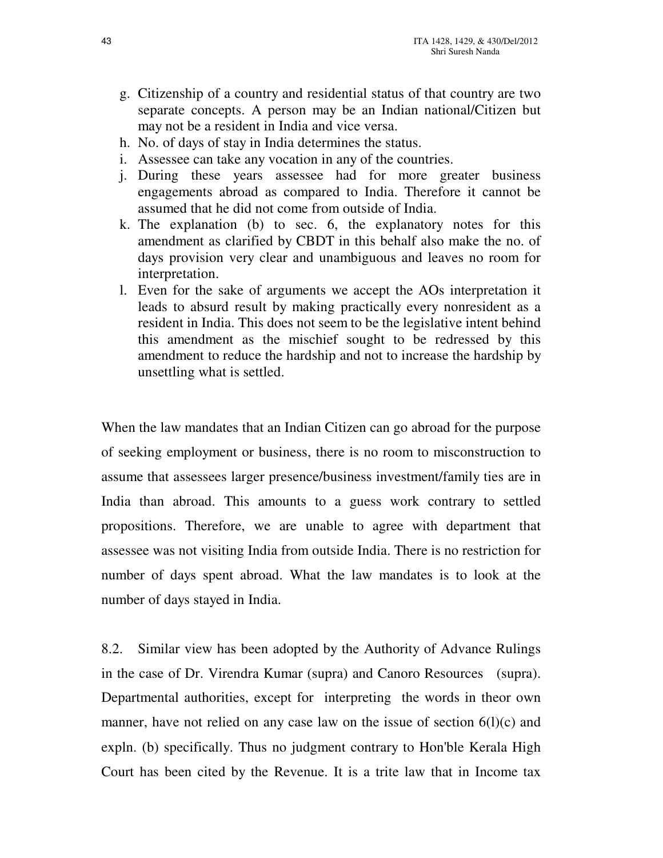- g. Citizenship of a country and residential status of that country are two separate concepts. A person may be an Indian national/Citizen but may not be a resident in India and vice versa.
- h. No. of days of stay in India determines the status.
- i. Assessee can take any vocation in any of the countries.
- j. During these years assessee had for more greater business engagements abroad as compared to India. Therefore it cannot be assumed that he did not come from outside of India.
- k. The explanation (b) to sec. 6, the explanatory notes for this amendment as clarified by CBDT in this behalf also make the no. of days provision very clear and unambiguous and leaves no room for interpretation.
- l. Even for the sake of arguments we accept the AOs interpretation it leads to absurd result by making practically every nonresident as a resident in India. This does not seem to be the legislative intent behind this amendment as the mischief sought to be redressed by this amendment to reduce the hardship and not to increase the hardship by unsettling what is settled.

When the law mandates that an Indian Citizen can go abroad for the purpose of seeking employment or business, there is no room to misconstruction to assume that assessees larger presence/business investment/family ties are in India than abroad. This amounts to a guess work contrary to settled propositions. Therefore, we are unable to agree with department that assessee was not visiting India from outside India. There is no restriction for number of days spent abroad. What the law mandates is to look at the number of days stayed in India.

8.2. Similar view has been adopted by the Authority of Advance Rulings in the case of Dr. Virendra Kumar (supra) and Canoro Resources (supra). Departmental authorities, except for interpreting the words in theor own manner, have not relied on any case law on the issue of section  $6(l)(c)$  and expln. (b) specifically. Thus no judgment contrary to Hon'ble Kerala High Court has been cited by the Revenue. It is a trite law that in Income tax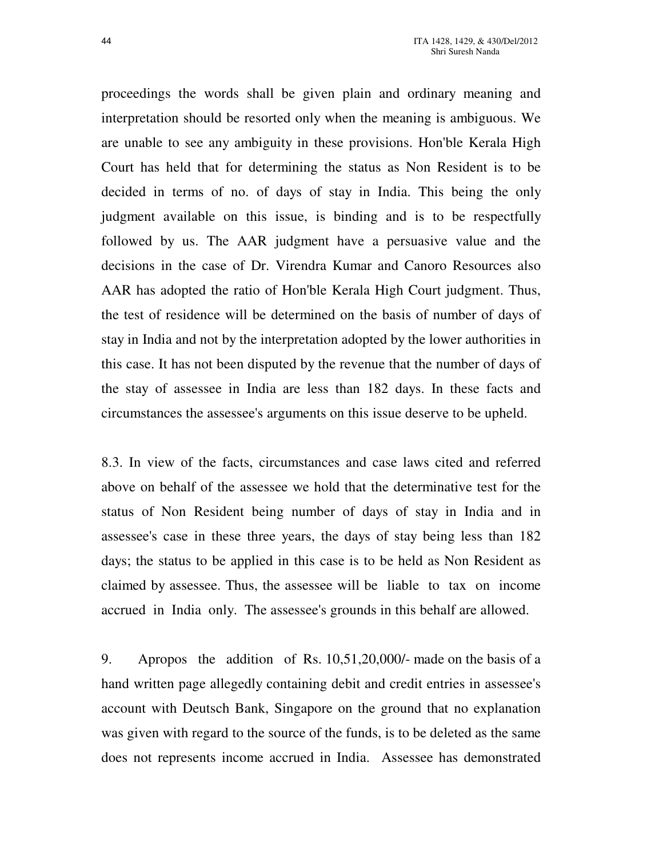proceedings the words shall be given plain and ordinary meaning and interpretation should be resorted only when the meaning is ambiguous. We are unable to see any ambiguity in these provisions. Hon'ble Kerala High Court has held that for determining the status as Non Resident is to be decided in terms of no. of days of stay in India. This being the only judgment available on this issue, is binding and is to be respectfully followed by us. The AAR judgment have a persuasive value and the decisions in the case of Dr. Virendra Kumar and Canoro Resources also AAR has adopted the ratio of Hon'ble Kerala High Court judgment. Thus, the test of residence will be determined on the basis of number of days of stay in India and not by the interpretation adopted by the lower authorities in this case. It has not been disputed by the revenue that the number of days of the stay of assessee in India are less than 182 days. In these facts and circumstances the assessee's arguments on this issue deserve to be upheld.

8.3. In view of the facts, circumstances and case laws cited and referred above on behalf of the assessee we hold that the determinative test for the status of Non Resident being number of days of stay in India and in assessee's case in these three years, the days of stay being less than 182 days; the status to be applied in this case is to be held as Non Resident as claimed by assessee. Thus, the assessee will be liable to tax on income accrued in India only. The assessee's grounds in this behalf are allowed.

9. Apropos the addition of Rs. 10,51,20,000/- made on the basis of a hand written page allegedly containing debit and credit entries in assessee's account with Deutsch Bank, Singapore on the ground that no explanation was given with regard to the source of the funds, is to be deleted as the same does not represents income accrued in India. Assessee has demonstrated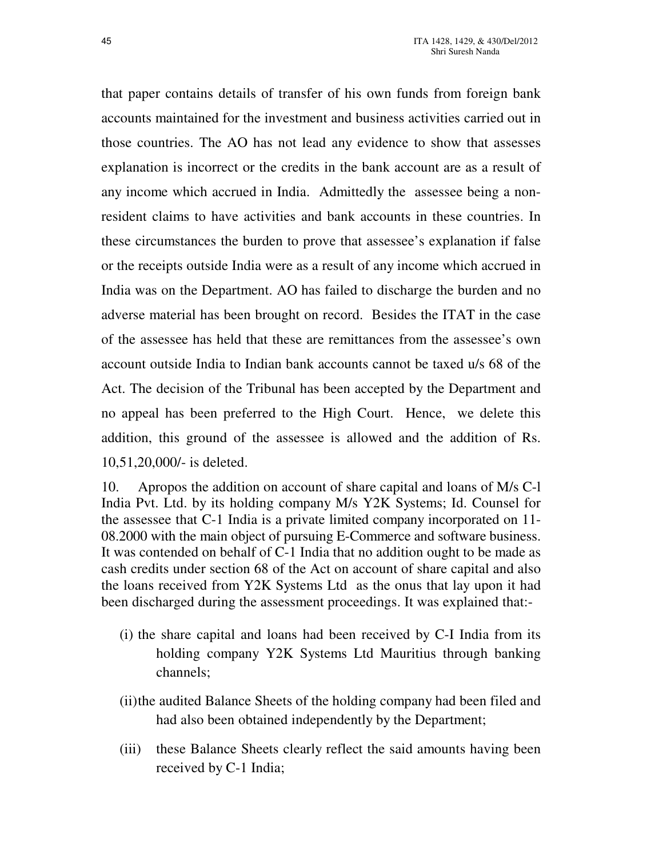that paper contains details of transfer of his own funds from foreign bank accounts maintained for the investment and business activities carried out in those countries. The AO has not lead any evidence to show that assesses explanation is incorrect or the credits in the bank account are as a result of any income which accrued in India. Admittedly the assessee being a nonresident claims to have activities and bank accounts in these countries. In these circumstances the burden to prove that assessee's explanation if false or the receipts outside India were as a result of any income which accrued in India was on the Department. AO has failed to discharge the burden and no adverse material has been brought on record. Besides the ITAT in the case of the assessee has held that these are remittances from the assessee's own account outside India to Indian bank accounts cannot be taxed u/s 68 of the Act. The decision of the Tribunal has been accepted by the Department and no appeal has been preferred to the High Court. Hence, we delete this addition, this ground of the assessee is allowed and the addition of Rs. 10,51,20,000/- is deleted.

10. Apropos the addition on account of share capital and loans of M/s C-l India Pvt. Ltd. by its holding company M/s Y2K Systems; Id. Counsel for the assessee that C-1 India is a private limited company incorporated on 11- 08.2000 with the main object of pursuing E-Commerce and software business. It was contended on behalf of C-1 India that no addition ought to be made as cash credits under section 68 of the Act on account of share capital and also the loans received from Y2K Systems Ltd as the onus that lay upon it had been discharged during the assessment proceedings. It was explained that:-

- (i) the share capital and loans had been received by C-I India from its holding company Y2K Systems Ltd Mauritius through banking channels;
- (ii) the audited Balance Sheets of the holding company had been filed and had also been obtained independently by the Department;
- (iii) these Balance Sheets clearly reflect the said amounts having been received by C-1 India;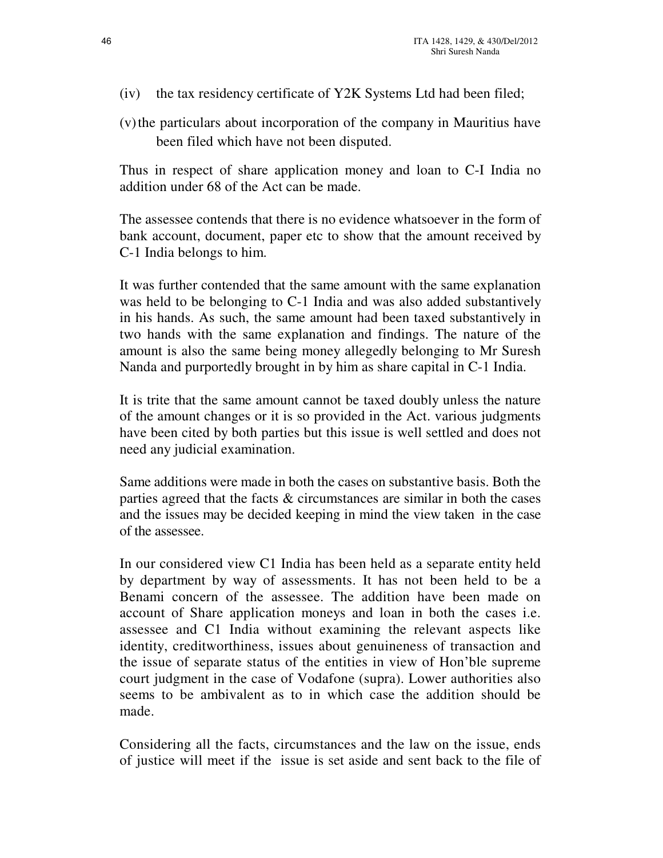- (iv) the tax residency certificate of Y2K Systems Ltd had been filed;
- (v) the particulars about incorporation of the company in Mauritius have been filed which have not been disputed.

Thus in respect of share application money and loan to C-I India no addition under 68 of the Act can be made.

The assessee contends that there is no evidence whatsoever in the form of bank account, document, paper etc to show that the amount received by C-1 India belongs to him.

It was further contended that the same amount with the same explanation was held to be belonging to C-1 India and was also added substantively in his hands. As such, the same amount had been taxed substantively in two hands with the same explanation and findings. The nature of the amount is also the same being money allegedly belonging to Mr Suresh Nanda and purportedly brought in by him as share capital in C-1 India.

It is trite that the same amount cannot be taxed doubly unless the nature of the amount changes or it is so provided in the Act. various judgments have been cited by both parties but this issue is well settled and does not need any judicial examination.

Same additions were made in both the cases on substantive basis. Both the parties agreed that the facts & circumstances are similar in both the cases and the issues may be decided keeping in mind the view taken in the case of the assessee.

In our considered view C1 India has been held as a separate entity held by department by way of assessments. It has not been held to be a Benami concern of the assessee. The addition have been made on account of Share application moneys and loan in both the cases i.e. assessee and C1 India without examining the relevant aspects like identity, creditworthiness, issues about genuineness of transaction and the issue of separate status of the entities in view of Hon'ble supreme court judgment in the case of Vodafone (supra). Lower authorities also seems to be ambivalent as to in which case the addition should be made.

Considering all the facts, circumstances and the law on the issue, ends of justice will meet if the issue is set aside and sent back to the file of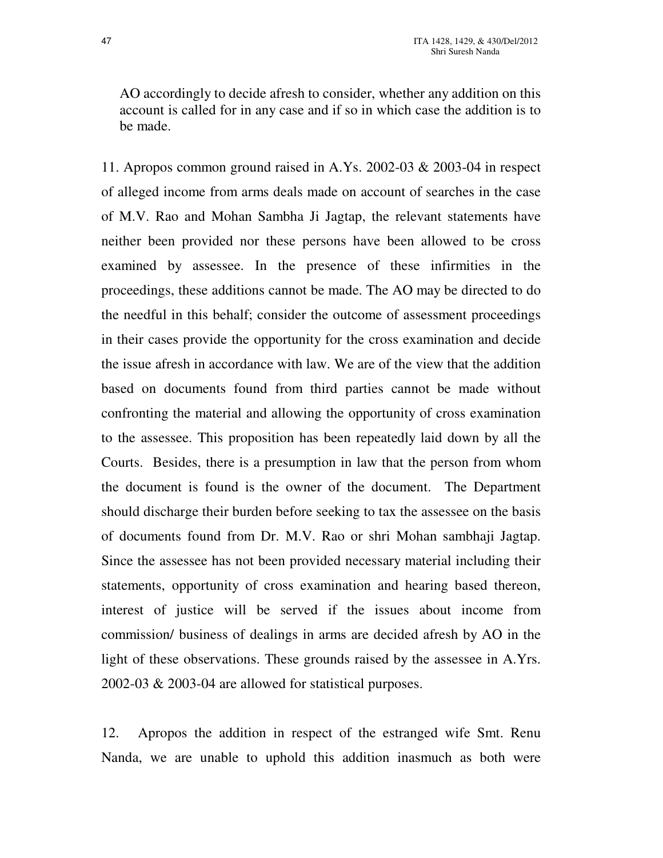AO accordingly to decide afresh to consider, whether any addition on this account is called for in any case and if so in which case the addition is to be made.

11. Apropos common ground raised in A.Ys. 2002-03 & 2003-04 in respect of alleged income from arms deals made on account of searches in the case of M.V. Rao and Mohan Sambha Ji Jagtap, the relevant statements have neither been provided nor these persons have been allowed to be cross examined by assessee. In the presence of these infirmities in the proceedings, these additions cannot be made. The AO may be directed to do the needful in this behalf; consider the outcome of assessment proceedings in their cases provide the opportunity for the cross examination and decide the issue afresh in accordance with law. We are of the view that the addition based on documents found from third parties cannot be made without confronting the material and allowing the opportunity of cross examination to the assessee. This proposition has been repeatedly laid down by all the Courts. Besides, there is a presumption in law that the person from whom the document is found is the owner of the document. The Department should discharge their burden before seeking to tax the assessee on the basis of documents found from Dr. M.V. Rao or shri Mohan sambhaji Jagtap. Since the assessee has not been provided necessary material including their statements, opportunity of cross examination and hearing based thereon, interest of justice will be served if the issues about income from commission/ business of dealings in arms are decided afresh by AO in the light of these observations. These grounds raised by the assessee in A.Yrs. 2002-03 & 2003-04 are allowed for statistical purposes.

12. Apropos the addition in respect of the estranged wife Smt. Renu Nanda, we are unable to uphold this addition inasmuch as both were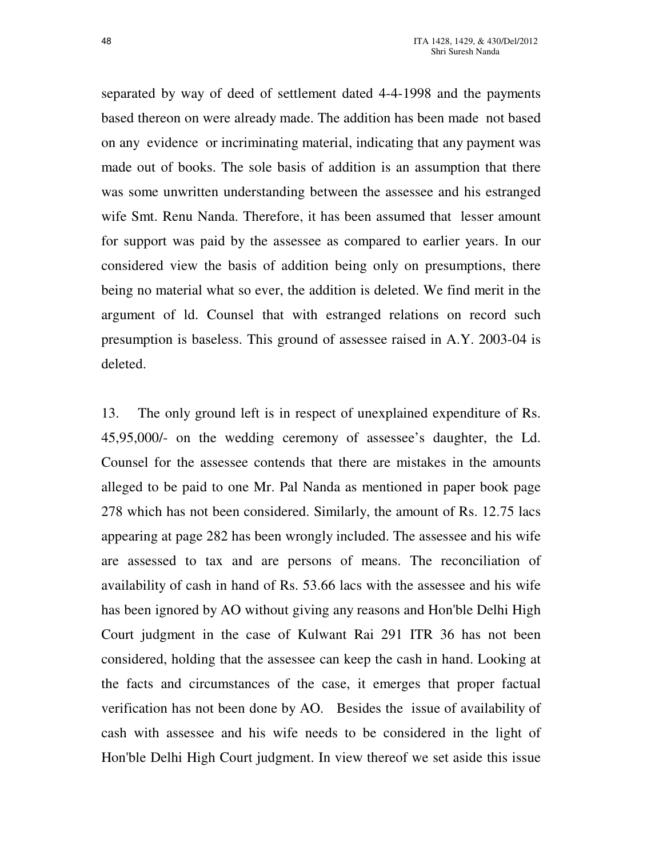separated by way of deed of settlement dated 4-4-1998 and the payments based thereon on were already made. The addition has been made not based on any evidence or incriminating material, indicating that any payment was made out of books. The sole basis of addition is an assumption that there was some unwritten understanding between the assessee and his estranged wife Smt. Renu Nanda. Therefore, it has been assumed that lesser amount for support was paid by the assessee as compared to earlier years. In our considered view the basis of addition being only on presumptions, there being no material what so ever, the addition is deleted. We find merit in the argument of ld. Counsel that with estranged relations on record such presumption is baseless. This ground of assessee raised in A.Y. 2003-04 is deleted.

13. The only ground left is in respect of unexplained expenditure of Rs. 45,95,000/- on the wedding ceremony of assessee's daughter, the Ld. Counsel for the assessee contends that there are mistakes in the amounts alleged to be paid to one Mr. Pal Nanda as mentioned in paper book page 278 which has not been considered. Similarly, the amount of Rs. 12.75 lacs appearing at page 282 has been wrongly included. The assessee and his wife are assessed to tax and are persons of means. The reconciliation of availability of cash in hand of Rs. 53.66 lacs with the assessee and his wife has been ignored by AO without giving any reasons and Hon'ble Delhi High Court judgment in the case of Kulwant Rai 291 ITR 36 has not been considered, holding that the assessee can keep the cash in hand. Looking at the facts and circumstances of the case, it emerges that proper factual verification has not been done by AO. Besides the issue of availability of cash with assessee and his wife needs to be considered in the light of Hon'ble Delhi High Court judgment. In view thereof we set aside this issue